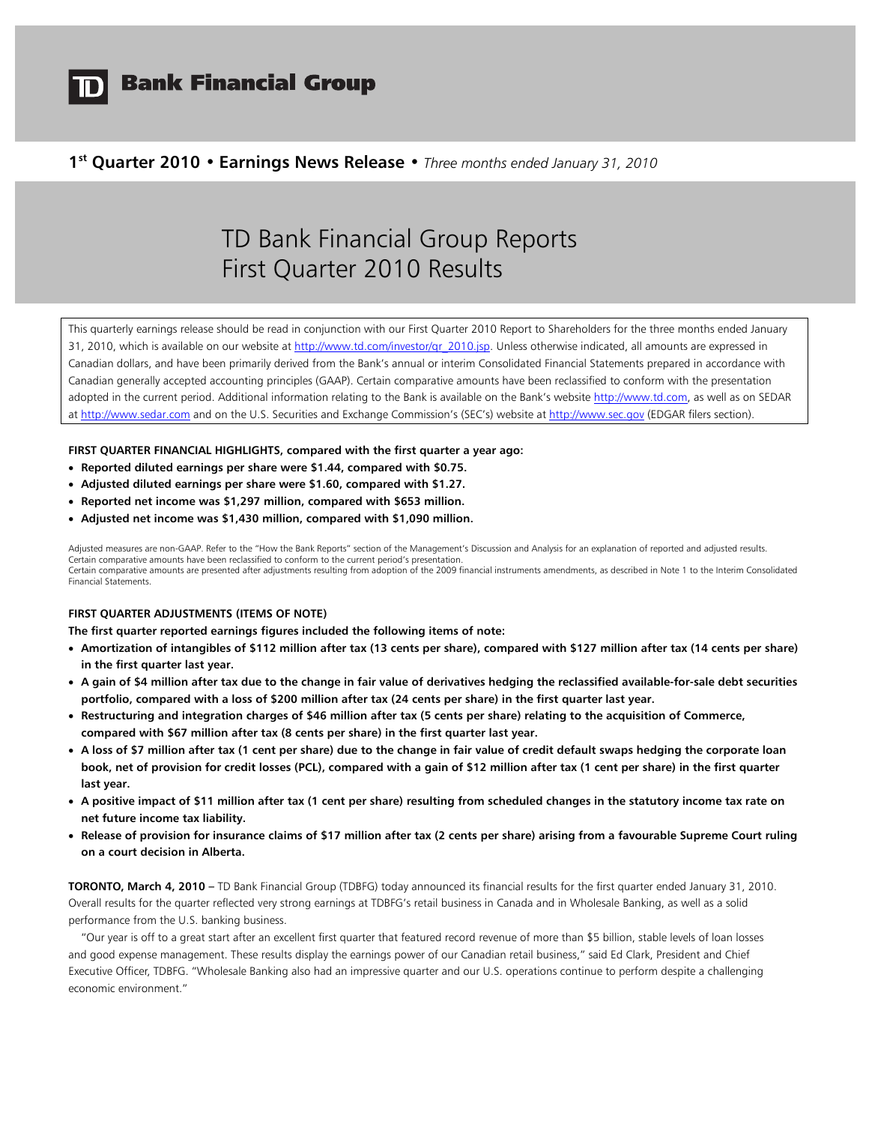

# **1st Quarter 2010 • Earnings News Release •** *Three months ended January 31, 2010*

# TD Bank Financial Group Reports First Quarter 2010 Results

This quarterly earnings release should be read in conjunction with our First Quarter 2010 Report to Shareholders for the three months ended January 31, 2010, which is available on our website at http://www.td.com/investor/qr\_2010.jsp. Unless otherwise indicated, all amounts are expressed in Canadian dollars, and have been primarily derived from the Bank's annual or interim Consolidated Financial Statements prepared in accordance with Canadian generally accepted accounting principles (GAAP). Certain comparative amounts have been reclassified to conform with the presentation adopted in the current period. Additional information relating to the Bank is available on the Bank's website http://www.td.com, as well as on SEDAR at http://www.sedar.com and on the U.S. Securities and Exchange Commission's (SEC's) website at http://www.sec.gov (EDGAR filers section).

# **FIRST QUARTER FINANCIAL HIGHLIGHTS, compared with the first quarter a year ago:**

- **Reported diluted earnings per share were \$1.44, compared with \$0.75.**
- **Adjusted diluted earnings per share were \$1.60, compared with \$1.27.**
- **Reported net income was \$1,297 million, compared with \$653 million.**
- **Adjusted net income was \$1,430 million, compared with \$1,090 million.**

Adjusted measures are non-GAAP. Refer to the "How the Bank Reports" section of the Management's Discussion and Analysis for an explanation of reported and adjusted results. Certain comparative amounts have been reclassified to conform to the current period's presentation. Certain comparative amounts are presented after adjustments resulting from adoption of the 2009 financial instruments amendments, as described in Note 1 to the Interim Consolidated Financial Statements.

# **FIRST QUARTER ADJUSTMENTS (ITEMS OF NOTE)**

**The first quarter reported earnings figures included the following items of note:** 

- **Amortization of intangibles of \$112 million after tax (13 cents per share), compared with \$127 million after tax (14 cents per share) in the first quarter last year.**
- **A gain of \$4 million after tax due to the change in fair value of derivatives hedging the reclassified available-for-sale debt securities portfolio, compared with a loss of \$200 million after tax (24 cents per share) in the first quarter last year.**
- **Restructuring and integration charges of \$46 million after tax (5 cents per share) relating to the acquisition of Commerce, compared with \$67 million after tax (8 cents per share) in the first quarter last year.**
- **A loss of \$7 million after tax (1 cent per share) due to the change in fair value of credit default swaps hedging the corporate loan book, net of provision for credit losses (PCL), compared with a gain of \$12 million after tax (1 cent per share) in the first quarter last year.**
- **A positive impact of \$11 million after tax (1 cent per share) resulting from scheduled changes in the statutory income tax rate on net future income tax liability.**
- **Release of provision for insurance claims of \$17 million after tax (2 cents per share) arising from a favourable Supreme Court ruling on a court decision in Alberta.**

**TORONTO, March 4, 2010 –** TD Bank Financial Group (TDBFG) today announced its financial results for the first quarter ended January 31, 2010. Overall results for the quarter reflected very strong earnings at TDBFG's retail business in Canada and in Wholesale Banking, as well as a solid performance from the U.S. banking business.

"Our year is off to a great start after an excellent first quarter that featured record revenue of more than \$5 billion, stable levels of loan losses and good expense management. These results display the earnings power of our Canadian retail business," said Ed Clark, President and Chief Executive Officer, TDBFG. "Wholesale Banking also had an impressive quarter and our U.S. operations continue to perform despite a challenging economic environment."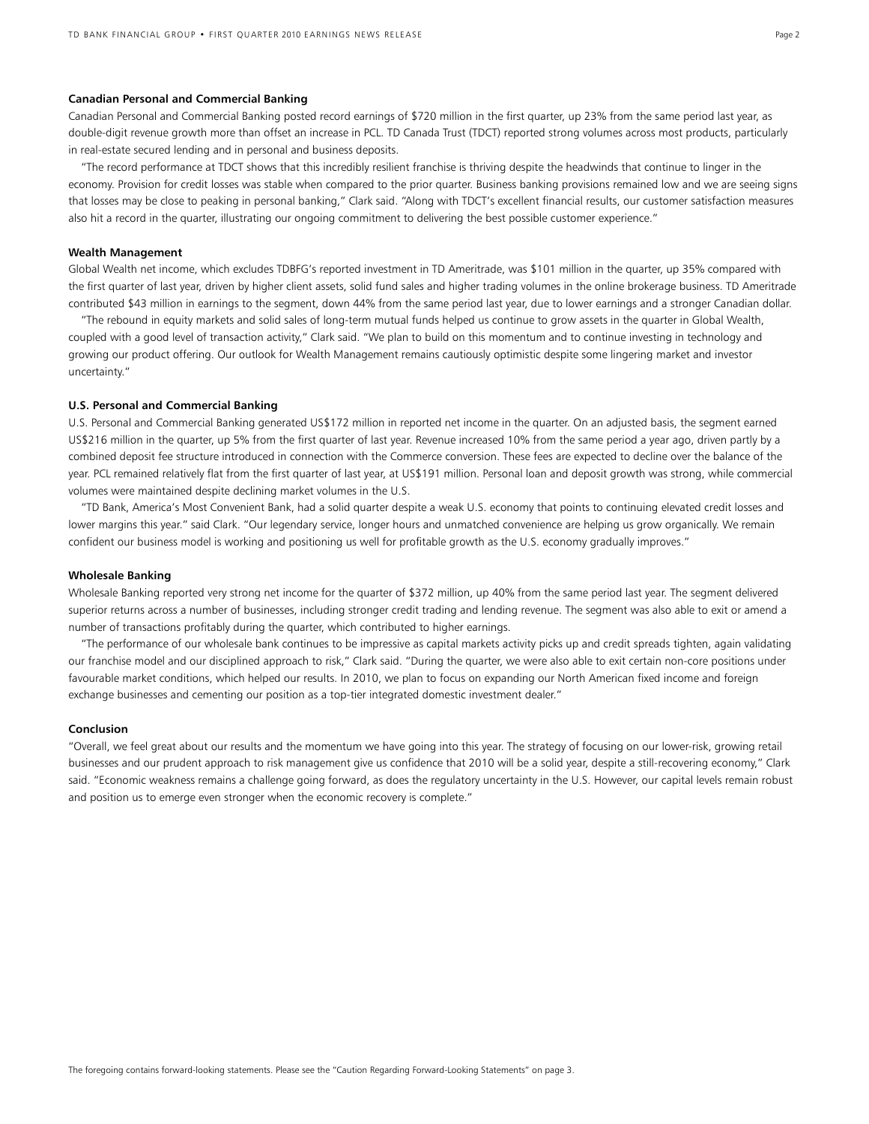### **Canadian Personal and Commercial Banking**

Canadian Personal and Commercial Banking posted record earnings of \$720 million in the first quarter, up 23% from the same period last year, as double-digit revenue growth more than offset an increase in PCL. TD Canada Trust (TDCT) reported strong volumes across most products, particularly in real-estate secured lending and in personal and business deposits.

"The record performance at TDCT shows that this incredibly resilient franchise is thriving despite the headwinds that continue to linger in the economy. Provision for credit losses was stable when compared to the prior quarter. Business banking provisions remained low and we are seeing signs that losses may be close to peaking in personal banking," Clark said. "Along with TDCT's excellent financial results, our customer satisfaction measures also hit a record in the quarter, illustrating our ongoing commitment to delivering the best possible customer experience."

#### **Wealth Management**

Global Wealth net income, which excludes TDBFG's reported investment in TD Ameritrade, was \$101 million in the quarter, up 35% compared with the first quarter of last year, driven by higher client assets, solid fund sales and higher trading volumes in the online brokerage business. TD Ameritrade contributed \$43 million in earnings to the segment, down 44% from the same period last year, due to lower earnings and a stronger Canadian dollar.

 "The rebound in equity markets and solid sales of long-term mutual funds helped us continue to grow assets in the quarter in Global Wealth, coupled with a good level of transaction activity," Clark said. "We plan to build on this momentum and to continue investing in technology and growing our product offering. Our outlook for Wealth Management remains cautiously optimistic despite some lingering market and investor uncertainty."

# **U.S. Personal and Commercial Banking**

U.S. Personal and Commercial Banking generated US\$172 million in reported net income in the quarter. On an adjusted basis, the segment earned US\$216 million in the quarter, up 5% from the first quarter of last year. Revenue increased 10% from the same period a year ago, driven partly by a combined deposit fee structure introduced in connection with the Commerce conversion. These fees are expected to decline over the balance of the year. PCL remained relatively flat from the first quarter of last year, at US\$191 million. Personal loan and deposit growth was strong, while commercial volumes were maintained despite declining market volumes in the U.S.

"TD Bank, America's Most Convenient Bank, had a solid quarter despite a weak U.S. economy that points to continuing elevated credit losses and lower margins this year." said Clark. "Our legendary service, longer hours and unmatched convenience are helping us grow organically. We remain confident our business model is working and positioning us well for profitable growth as the U.S. economy gradually improves."

# **Wholesale Banking**

Wholesale Banking reported very strong net income for the quarter of \$372 million, up 40% from the same period last year. The segment delivered superior returns across a number of businesses, including stronger credit trading and lending revenue. The segment was also able to exit or amend a number of transactions profitably during the quarter, which contributed to higher earnings.

 "The performance of our wholesale bank continues to be impressive as capital markets activity picks up and credit spreads tighten, again validating our franchise model and our disciplined approach to risk," Clark said. "During the quarter, we were also able to exit certain non-core positions under favourable market conditions, which helped our results. In 2010, we plan to focus on expanding our North American fixed income and foreign exchange businesses and cementing our position as a top-tier integrated domestic investment dealer."

## **Conclusion**

"Overall, we feel great about our results and the momentum we have going into this year. The strategy of focusing on our lower-risk, growing retail businesses and our prudent approach to risk management give us confidence that 2010 will be a solid year, despite a still-recovering economy," Clark said. "Economic weakness remains a challenge going forward, as does the regulatory uncertainty in the U.S. However, our capital levels remain robust and position us to emerge even stronger when the economic recovery is complete."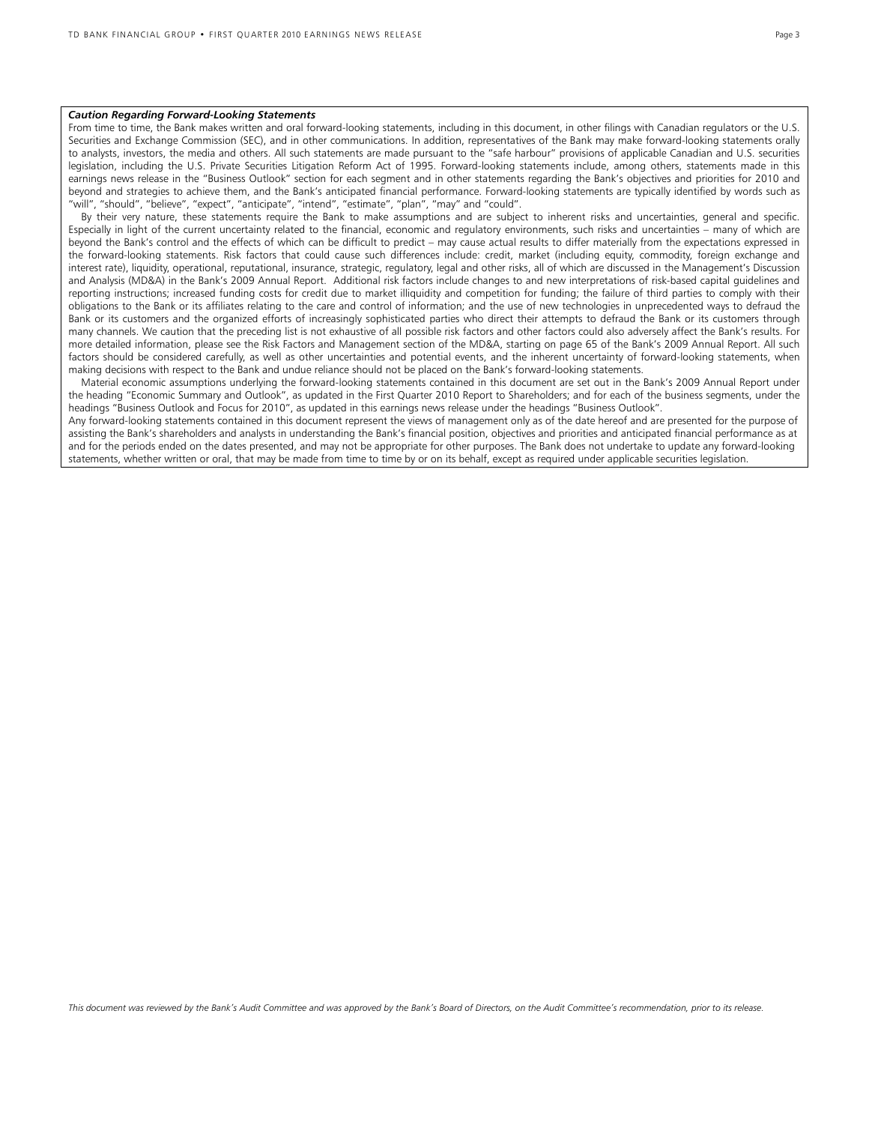#### *Caution Regarding Forward-Looking Statements*

From time to time, the Bank makes written and oral forward-looking statements, including in this document, in other filings with Canadian regulators or the U.S. Securities and Exchange Commission (SEC), and in other communications. In addition, representatives of the Bank may make forward-looking statements orally to analysts, investors, the media and others. All such statements are made pursuant to the "safe harbour" provisions of applicable Canadian and U.S. securities legislation, including the U.S. Private Securities Litigation Reform Act of 1995. Forward-looking statements include, among others, statements made in this earnings news release in the "Business Outlook" section for each segment and in other statements regarding the Bank's objectives and priorities for 2010 and beyond and strategies to achieve them, and the Bank's anticipated financial performance. Forward-looking statements are typically identified by words such as "will", "should", "believe", "expect", "anticipate", "intend", "estimate", "plan", "may" and "could".

 By their very nature, these statements require the Bank to make assumptions and are subject to inherent risks and uncertainties, general and specific. Especially in light of the current uncertainty related to the financial, economic and regulatory environments, such risks and uncertainties – many of which are beyond the Bank's control and the effects of which can be difficult to predict – may cause actual results to differ materially from the expectations expressed in the forward-looking statements. Risk factors that could cause such differences include: credit, market (including equity, commodity, foreign exchange and interest rate), liquidity, operational, reputational, insurance, strategic, regulatory, legal and other risks, all of which are discussed in the Management's Discussion and Analysis (MD&A) in the Bank's 2009 Annual Report. Additional risk factors include changes to and new interpretations of risk-based capital guidelines and reporting instructions; increased funding costs for credit due to market illiquidity and competition for funding; the failure of third parties to comply with their obligations to the Bank or its affiliates relating to the care and control of information; and the use of new technologies in unprecedented ways to defraud the Bank or its customers and the organized efforts of increasingly sophisticated parties who direct their attempts to defraud the Bank or its customers through many channels. We caution that the preceding list is not exhaustive of all possible risk factors and other factors could also adversely affect the Bank's results. For more detailed information, please see the Risk Factors and Management section of the MD&A, starting on page 65 of the Bank's 2009 Annual Report. All such factors should be considered carefully, as well as other uncertainties and potential events, and the inherent uncertainty of forward-looking statements, when making decisions with respect to the Bank and undue reliance should not be placed on the Bank's forward-looking statements.

 Material economic assumptions underlying the forward-looking statements contained in this document are set out in the Bank's 2009 Annual Report under the heading "Economic Summary and Outlook", as updated in the First Quarter 2010 Report to Shareholders; and for each of the business segments, under the headings "Business Outlook and Focus for 2010", as updated in this earnings news release under the headings "Business Outlook".

Any forward-looking statements contained in this document represent the views of management only as of the date hereof and are presented for the purpose of assisting the Bank's shareholders and analysts in understanding the Bank's financial position, objectives and priorities and anticipated financial performance as at and for the periods ended on the dates presented, and may not be appropriate for other purposes. The Bank does not undertake to update any forward-looking statements, whether written or oral, that may be made from time to time by or on its behalf, except as required under applicable securities legislation.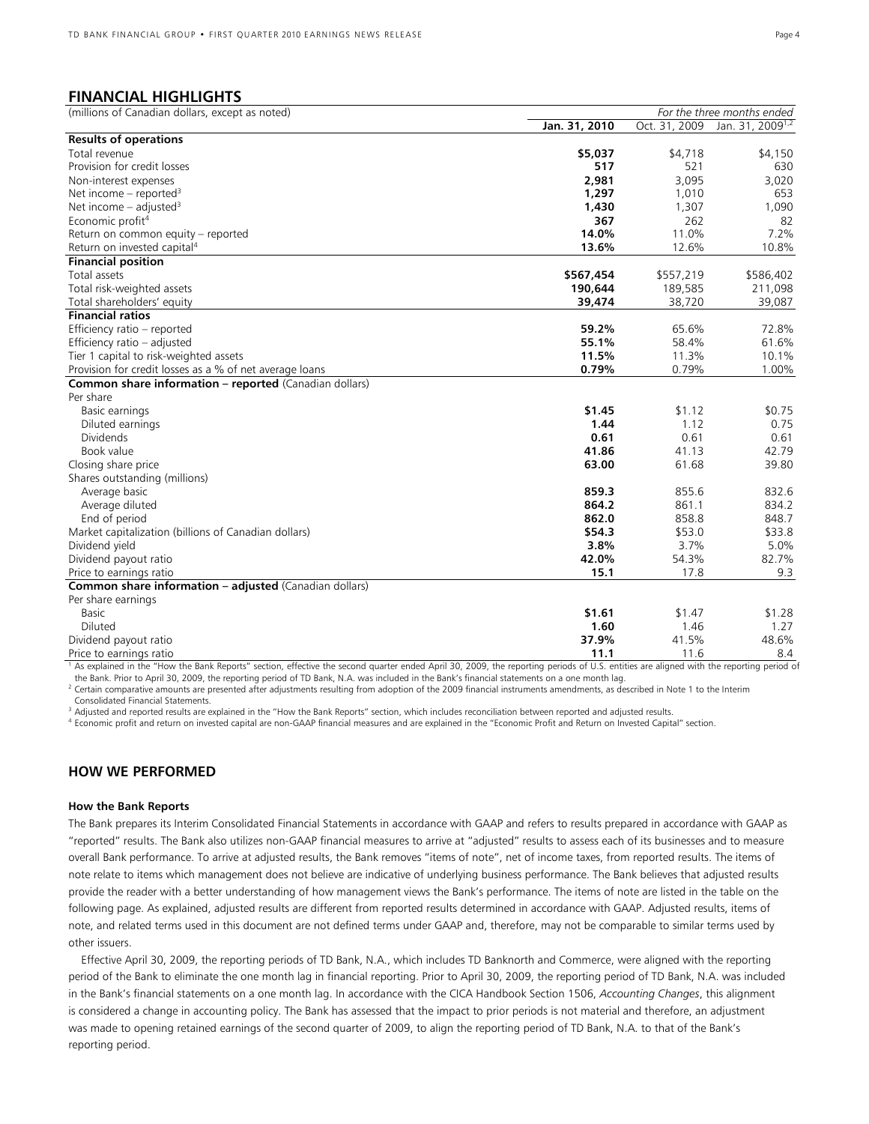# **FINANCIAL HIGHLIGHTS**

| Jan. 31, 2010<br>Oct. 31, 2009<br>Jan. 31, 2009 <sup>1,2</sup><br><b>Results of operations</b><br>Total revenue<br>\$5,037<br>\$4,718<br>\$4,150<br>Provision for credit losses<br>517<br>521<br>630<br>2,981<br>3,095<br>Non-interest expenses<br>3,020<br>Net income – reported <sup>3</sup><br>1,297<br>1,010<br>653<br>Net income $-$ adjusted <sup>3</sup><br>1,430<br>1,307<br>1,090<br>Economic profit <sup>4</sup><br>367<br>262<br>82<br>7.2%<br>14.0%<br>11.0%<br>Return on common equity - reported<br>Return on invested capital <sup>4</sup><br>13.6%<br>12.6%<br>10.8%<br><b>Financial position</b><br>Total assets<br>\$567,454<br>\$557,219<br>\$586,402<br>Total risk-weighted assets<br>189,585<br>190,644<br>211,098<br>Total shareholders' equity<br>39,474<br>38,720<br>39,087<br><b>Financial ratios</b><br>Efficiency ratio - reported<br>59.2%<br>65.6%<br>72.8%<br>55.1%<br>Efficiency ratio - adjusted<br>58.4%<br>61.6%<br>Tier 1 capital to risk-weighted assets<br>11.5%<br>11.3%<br>10.1%<br>0.79%<br>0.79%<br>Provision for credit losses as a % of net average loans<br>1.00%<br><b>Common share information - reported (Canadian dollars)</b><br>Per share<br>\$1.45<br>\$1.12<br>\$0.75<br>Basic earnings<br>1.12<br>0.75<br>1.44<br>Diluted earnings<br>0.61<br>0.61<br><b>Dividends</b><br>0.61<br>Book value<br>41.86<br>41.13<br>42.79<br>61.68<br>Closing share price<br>63.00<br>39.80<br>Shares outstanding (millions)<br>859.3<br>855.6<br>832.6<br>Average basic<br>864.2<br>861.1<br>834.2<br>Average diluted<br>862.0<br>858.8<br>848.7<br>End of period<br>Market capitalization (billions of Canadian dollars)<br>\$54.3<br>\$53.0<br>\$33.8<br>3.8%<br>3.7%<br>5.0%<br>Dividend yield<br>82.7%<br>Dividend payout ratio<br>42.0%<br>54.3%<br>15.1<br>Price to earnings ratio<br>17.8<br>9.3<br>Common share information - adjusted (Canadian dollars)<br>Per share earnings<br>\$1.61<br>Basic<br>\$1.47<br>Diluted<br>1.60<br>1.46<br>1.27<br>37.9%<br>41.5%<br>48.6%<br>Dividend payout ratio<br>11.1<br>11.6<br>8.4<br>Price to earnings ratio | (millions of Canadian dollars, except as noted) | For the three months ended |  |  |
|---------------------------------------------------------------------------------------------------------------------------------------------------------------------------------------------------------------------------------------------------------------------------------------------------------------------------------------------------------------------------------------------------------------------------------------------------------------------------------------------------------------------------------------------------------------------------------------------------------------------------------------------------------------------------------------------------------------------------------------------------------------------------------------------------------------------------------------------------------------------------------------------------------------------------------------------------------------------------------------------------------------------------------------------------------------------------------------------------------------------------------------------------------------------------------------------------------------------------------------------------------------------------------------------------------------------------------------------------------------------------------------------------------------------------------------------------------------------------------------------------------------------------------------------------------------------------------------------------------------------------------------------------------------------------------------------------------------------------------------------------------------------------------------------------------------------------------------------------------------------------------------------------------------------------------------------------------------------------------------------------------------------------------------------------------------------------------------------------|-------------------------------------------------|----------------------------|--|--|
|                                                                                                                                                                                                                                                                                                                                                                                                                                                                                                                                                                                                                                                                                                                                                                                                                                                                                                                                                                                                                                                                                                                                                                                                                                                                                                                                                                                                                                                                                                                                                                                                                                                                                                                                                                                                                                                                                                                                                                                                                                                                                                   |                                                 |                            |  |  |
| \$1.28                                                                                                                                                                                                                                                                                                                                                                                                                                                                                                                                                                                                                                                                                                                                                                                                                                                                                                                                                                                                                                                                                                                                                                                                                                                                                                                                                                                                                                                                                                                                                                                                                                                                                                                                                                                                                                                                                                                                                                                                                                                                                            |                                                 |                            |  |  |
|                                                                                                                                                                                                                                                                                                                                                                                                                                                                                                                                                                                                                                                                                                                                                                                                                                                                                                                                                                                                                                                                                                                                                                                                                                                                                                                                                                                                                                                                                                                                                                                                                                                                                                                                                                                                                                                                                                                                                                                                                                                                                                   |                                                 |                            |  |  |
|                                                                                                                                                                                                                                                                                                                                                                                                                                                                                                                                                                                                                                                                                                                                                                                                                                                                                                                                                                                                                                                                                                                                                                                                                                                                                                                                                                                                                                                                                                                                                                                                                                                                                                                                                                                                                                                                                                                                                                                                                                                                                                   |                                                 |                            |  |  |
|                                                                                                                                                                                                                                                                                                                                                                                                                                                                                                                                                                                                                                                                                                                                                                                                                                                                                                                                                                                                                                                                                                                                                                                                                                                                                                                                                                                                                                                                                                                                                                                                                                                                                                                                                                                                                                                                                                                                                                                                                                                                                                   |                                                 |                            |  |  |
|                                                                                                                                                                                                                                                                                                                                                                                                                                                                                                                                                                                                                                                                                                                                                                                                                                                                                                                                                                                                                                                                                                                                                                                                                                                                                                                                                                                                                                                                                                                                                                                                                                                                                                                                                                                                                                                                                                                                                                                                                                                                                                   |                                                 |                            |  |  |
|                                                                                                                                                                                                                                                                                                                                                                                                                                                                                                                                                                                                                                                                                                                                                                                                                                                                                                                                                                                                                                                                                                                                                                                                                                                                                                                                                                                                                                                                                                                                                                                                                                                                                                                                                                                                                                                                                                                                                                                                                                                                                                   |                                                 |                            |  |  |
|                                                                                                                                                                                                                                                                                                                                                                                                                                                                                                                                                                                                                                                                                                                                                                                                                                                                                                                                                                                                                                                                                                                                                                                                                                                                                                                                                                                                                                                                                                                                                                                                                                                                                                                                                                                                                                                                                                                                                                                                                                                                                                   |                                                 |                            |  |  |
|                                                                                                                                                                                                                                                                                                                                                                                                                                                                                                                                                                                                                                                                                                                                                                                                                                                                                                                                                                                                                                                                                                                                                                                                                                                                                                                                                                                                                                                                                                                                                                                                                                                                                                                                                                                                                                                                                                                                                                                                                                                                                                   |                                                 |                            |  |  |
|                                                                                                                                                                                                                                                                                                                                                                                                                                                                                                                                                                                                                                                                                                                                                                                                                                                                                                                                                                                                                                                                                                                                                                                                                                                                                                                                                                                                                                                                                                                                                                                                                                                                                                                                                                                                                                                                                                                                                                                                                                                                                                   |                                                 |                            |  |  |
|                                                                                                                                                                                                                                                                                                                                                                                                                                                                                                                                                                                                                                                                                                                                                                                                                                                                                                                                                                                                                                                                                                                                                                                                                                                                                                                                                                                                                                                                                                                                                                                                                                                                                                                                                                                                                                                                                                                                                                                                                                                                                                   |                                                 |                            |  |  |
|                                                                                                                                                                                                                                                                                                                                                                                                                                                                                                                                                                                                                                                                                                                                                                                                                                                                                                                                                                                                                                                                                                                                                                                                                                                                                                                                                                                                                                                                                                                                                                                                                                                                                                                                                                                                                                                                                                                                                                                                                                                                                                   |                                                 |                            |  |  |
|                                                                                                                                                                                                                                                                                                                                                                                                                                                                                                                                                                                                                                                                                                                                                                                                                                                                                                                                                                                                                                                                                                                                                                                                                                                                                                                                                                                                                                                                                                                                                                                                                                                                                                                                                                                                                                                                                                                                                                                                                                                                                                   |                                                 |                            |  |  |
|                                                                                                                                                                                                                                                                                                                                                                                                                                                                                                                                                                                                                                                                                                                                                                                                                                                                                                                                                                                                                                                                                                                                                                                                                                                                                                                                                                                                                                                                                                                                                                                                                                                                                                                                                                                                                                                                                                                                                                                                                                                                                                   |                                                 |                            |  |  |
|                                                                                                                                                                                                                                                                                                                                                                                                                                                                                                                                                                                                                                                                                                                                                                                                                                                                                                                                                                                                                                                                                                                                                                                                                                                                                                                                                                                                                                                                                                                                                                                                                                                                                                                                                                                                                                                                                                                                                                                                                                                                                                   |                                                 |                            |  |  |
|                                                                                                                                                                                                                                                                                                                                                                                                                                                                                                                                                                                                                                                                                                                                                                                                                                                                                                                                                                                                                                                                                                                                                                                                                                                                                                                                                                                                                                                                                                                                                                                                                                                                                                                                                                                                                                                                                                                                                                                                                                                                                                   |                                                 |                            |  |  |
|                                                                                                                                                                                                                                                                                                                                                                                                                                                                                                                                                                                                                                                                                                                                                                                                                                                                                                                                                                                                                                                                                                                                                                                                                                                                                                                                                                                                                                                                                                                                                                                                                                                                                                                                                                                                                                                                                                                                                                                                                                                                                                   |                                                 |                            |  |  |
|                                                                                                                                                                                                                                                                                                                                                                                                                                                                                                                                                                                                                                                                                                                                                                                                                                                                                                                                                                                                                                                                                                                                                                                                                                                                                                                                                                                                                                                                                                                                                                                                                                                                                                                                                                                                                                                                                                                                                                                                                                                                                                   |                                                 |                            |  |  |
|                                                                                                                                                                                                                                                                                                                                                                                                                                                                                                                                                                                                                                                                                                                                                                                                                                                                                                                                                                                                                                                                                                                                                                                                                                                                                                                                                                                                                                                                                                                                                                                                                                                                                                                                                                                                                                                                                                                                                                                                                                                                                                   |                                                 |                            |  |  |
|                                                                                                                                                                                                                                                                                                                                                                                                                                                                                                                                                                                                                                                                                                                                                                                                                                                                                                                                                                                                                                                                                                                                                                                                                                                                                                                                                                                                                                                                                                                                                                                                                                                                                                                                                                                                                                                                                                                                                                                                                                                                                                   |                                                 |                            |  |  |
|                                                                                                                                                                                                                                                                                                                                                                                                                                                                                                                                                                                                                                                                                                                                                                                                                                                                                                                                                                                                                                                                                                                                                                                                                                                                                                                                                                                                                                                                                                                                                                                                                                                                                                                                                                                                                                                                                                                                                                                                                                                                                                   |                                                 |                            |  |  |
|                                                                                                                                                                                                                                                                                                                                                                                                                                                                                                                                                                                                                                                                                                                                                                                                                                                                                                                                                                                                                                                                                                                                                                                                                                                                                                                                                                                                                                                                                                                                                                                                                                                                                                                                                                                                                                                                                                                                                                                                                                                                                                   |                                                 |                            |  |  |
|                                                                                                                                                                                                                                                                                                                                                                                                                                                                                                                                                                                                                                                                                                                                                                                                                                                                                                                                                                                                                                                                                                                                                                                                                                                                                                                                                                                                                                                                                                                                                                                                                                                                                                                                                                                                                                                                                                                                                                                                                                                                                                   |                                                 |                            |  |  |
|                                                                                                                                                                                                                                                                                                                                                                                                                                                                                                                                                                                                                                                                                                                                                                                                                                                                                                                                                                                                                                                                                                                                                                                                                                                                                                                                                                                                                                                                                                                                                                                                                                                                                                                                                                                                                                                                                                                                                                                                                                                                                                   |                                                 |                            |  |  |
|                                                                                                                                                                                                                                                                                                                                                                                                                                                                                                                                                                                                                                                                                                                                                                                                                                                                                                                                                                                                                                                                                                                                                                                                                                                                                                                                                                                                                                                                                                                                                                                                                                                                                                                                                                                                                                                                                                                                                                                                                                                                                                   |                                                 |                            |  |  |
|                                                                                                                                                                                                                                                                                                                                                                                                                                                                                                                                                                                                                                                                                                                                                                                                                                                                                                                                                                                                                                                                                                                                                                                                                                                                                                                                                                                                                                                                                                                                                                                                                                                                                                                                                                                                                                                                                                                                                                                                                                                                                                   |                                                 |                            |  |  |
|                                                                                                                                                                                                                                                                                                                                                                                                                                                                                                                                                                                                                                                                                                                                                                                                                                                                                                                                                                                                                                                                                                                                                                                                                                                                                                                                                                                                                                                                                                                                                                                                                                                                                                                                                                                                                                                                                                                                                                                                                                                                                                   |                                                 |                            |  |  |
|                                                                                                                                                                                                                                                                                                                                                                                                                                                                                                                                                                                                                                                                                                                                                                                                                                                                                                                                                                                                                                                                                                                                                                                                                                                                                                                                                                                                                                                                                                                                                                                                                                                                                                                                                                                                                                                                                                                                                                                                                                                                                                   |                                                 |                            |  |  |
|                                                                                                                                                                                                                                                                                                                                                                                                                                                                                                                                                                                                                                                                                                                                                                                                                                                                                                                                                                                                                                                                                                                                                                                                                                                                                                                                                                                                                                                                                                                                                                                                                                                                                                                                                                                                                                                                                                                                                                                                                                                                                                   |                                                 |                            |  |  |
|                                                                                                                                                                                                                                                                                                                                                                                                                                                                                                                                                                                                                                                                                                                                                                                                                                                                                                                                                                                                                                                                                                                                                                                                                                                                                                                                                                                                                                                                                                                                                                                                                                                                                                                                                                                                                                                                                                                                                                                                                                                                                                   |                                                 |                            |  |  |
|                                                                                                                                                                                                                                                                                                                                                                                                                                                                                                                                                                                                                                                                                                                                                                                                                                                                                                                                                                                                                                                                                                                                                                                                                                                                                                                                                                                                                                                                                                                                                                                                                                                                                                                                                                                                                                                                                                                                                                                                                                                                                                   |                                                 |                            |  |  |
|                                                                                                                                                                                                                                                                                                                                                                                                                                                                                                                                                                                                                                                                                                                                                                                                                                                                                                                                                                                                                                                                                                                                                                                                                                                                                                                                                                                                                                                                                                                                                                                                                                                                                                                                                                                                                                                                                                                                                                                                                                                                                                   |                                                 |                            |  |  |
|                                                                                                                                                                                                                                                                                                                                                                                                                                                                                                                                                                                                                                                                                                                                                                                                                                                                                                                                                                                                                                                                                                                                                                                                                                                                                                                                                                                                                                                                                                                                                                                                                                                                                                                                                                                                                                                                                                                                                                                                                                                                                                   |                                                 |                            |  |  |
|                                                                                                                                                                                                                                                                                                                                                                                                                                                                                                                                                                                                                                                                                                                                                                                                                                                                                                                                                                                                                                                                                                                                                                                                                                                                                                                                                                                                                                                                                                                                                                                                                                                                                                                                                                                                                                                                                                                                                                                                                                                                                                   |                                                 |                            |  |  |
|                                                                                                                                                                                                                                                                                                                                                                                                                                                                                                                                                                                                                                                                                                                                                                                                                                                                                                                                                                                                                                                                                                                                                                                                                                                                                                                                                                                                                                                                                                                                                                                                                                                                                                                                                                                                                                                                                                                                                                                                                                                                                                   |                                                 |                            |  |  |
|                                                                                                                                                                                                                                                                                                                                                                                                                                                                                                                                                                                                                                                                                                                                                                                                                                                                                                                                                                                                                                                                                                                                                                                                                                                                                                                                                                                                                                                                                                                                                                                                                                                                                                                                                                                                                                                                                                                                                                                                                                                                                                   |                                                 |                            |  |  |
|                                                                                                                                                                                                                                                                                                                                                                                                                                                                                                                                                                                                                                                                                                                                                                                                                                                                                                                                                                                                                                                                                                                                                                                                                                                                                                                                                                                                                                                                                                                                                                                                                                                                                                                                                                                                                                                                                                                                                                                                                                                                                                   |                                                 |                            |  |  |
|                                                                                                                                                                                                                                                                                                                                                                                                                                                                                                                                                                                                                                                                                                                                                                                                                                                                                                                                                                                                                                                                                                                                                                                                                                                                                                                                                                                                                                                                                                                                                                                                                                                                                                                                                                                                                                                                                                                                                                                                                                                                                                   |                                                 |                            |  |  |
|                                                                                                                                                                                                                                                                                                                                                                                                                                                                                                                                                                                                                                                                                                                                                                                                                                                                                                                                                                                                                                                                                                                                                                                                                                                                                                                                                                                                                                                                                                                                                                                                                                                                                                                                                                                                                                                                                                                                                                                                                                                                                                   |                                                 |                            |  |  |
| I As ovplained in the "How the Pank Penetr" section, effective the second quarter anded April 20, 2000, the reporting periods of LLS, entities are aligned with the reporting period of                                                                                                                                                                                                                                                                                                                                                                                                                                                                                                                                                                                                                                                                                                                                                                                                                                                                                                                                                                                                                                                                                                                                                                                                                                                                                                                                                                                                                                                                                                                                                                                                                                                                                                                                                                                                                                                                                                           |                                                 |                            |  |  |

As explained in the "How the Bank Reports" section, effective the second quarter ended April 30, 2009, the reporting periods of U.S. entities are aligned with the reporting period of<br>the Bank. Prior to April 30, 2009, the

<sup>2</sup> Certain comparative amounts are presented after adjustments resulting from adoption of the 2009 financial instruments amendments, as described in Note 1 to the Interim

Consolidated Financial Statements.

<sup>3</sup> Adjusted and reported results are explained in the "How the Bank Reports" section, which includes reconciliation between reported and adjusted results.<br><sup>4</sup> Economic profit and return on invested capital are non-GAAP fi

# **HOW WE PERFORMED**

#### **How the Bank Reports**

The Bank prepares its Interim Consolidated Financial Statements in accordance with GAAP and refers to results prepared in accordance with GAAP as "reported" results. The Bank also utilizes non-GAAP financial measures to arrive at "adjusted" results to assess each of its businesses and to measure overall Bank performance. To arrive at adjusted results, the Bank removes "items of note", net of income taxes, from reported results. The items of note relate to items which management does not believe are indicative of underlying business performance. The Bank believes that adjusted results provide the reader with a better understanding of how management views the Bank's performance. The items of note are listed in the table on the following page. As explained, adjusted results are different from reported results determined in accordance with GAAP. Adjusted results, items of note, and related terms used in this document are not defined terms under GAAP and, therefore, may not be comparable to similar terms used by other issuers.

 Effective April 30, 2009, the reporting periods of TD Bank, N.A., which includes TD Banknorth and Commerce, were aligned with the reporting period of the Bank to eliminate the one month lag in financial reporting. Prior to April 30, 2009, the reporting period of TD Bank, N.A. was included in the Bank's financial statements on a one month lag. In accordance with the CICA Handbook Section 1506, *Accounting Changes*, this alignment is considered a change in accounting policy. The Bank has assessed that the impact to prior periods is not material and therefore, an adjustment was made to opening retained earnings of the second quarter of 2009, to align the reporting period of TD Bank, N.A. to that of the Bank's reporting period.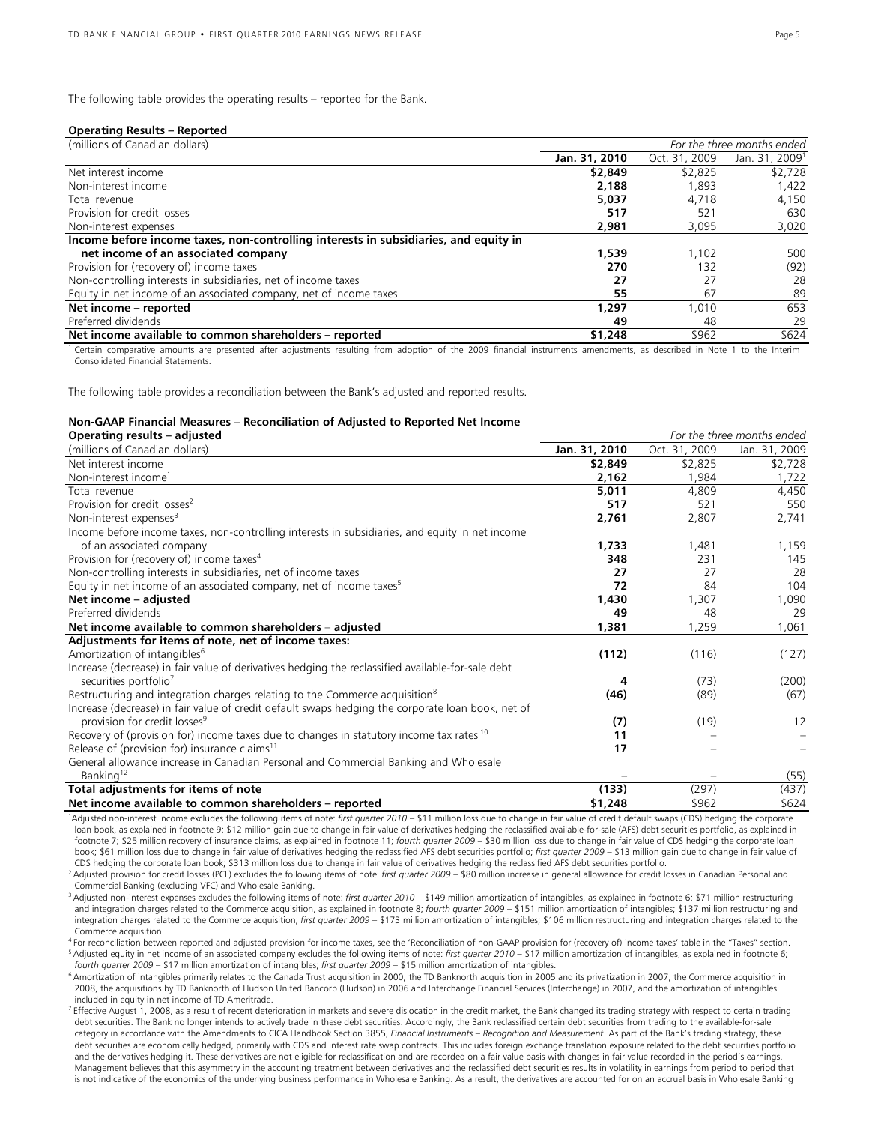The following table provides the operating results – reported for the Bank.

#### **Operating Results – Reported**

| (millions of Canadian dollars)                                                       | For the three months ended |               |                            |
|--------------------------------------------------------------------------------------|----------------------------|---------------|----------------------------|
|                                                                                      | Jan. 31, 2010              | Oct. 31, 2009 | Jan. 31, 2009 <sup>1</sup> |
| Net interest income                                                                  | \$2,849                    | \$2,825       | \$2,728                    |
| Non-interest income                                                                  | 2,188                      | 1.893         | 1,422                      |
| Total revenue                                                                        | 5.037                      | 4.718         | 4.150                      |
| Provision for credit losses                                                          | 517                        | 52'           | 630                        |
| Non-interest expenses                                                                | 2,981                      | 3,095         | 3,020                      |
| Income before income taxes, non-controlling interests in subsidiaries, and equity in |                            |               |                            |
| net income of an associated company                                                  | 1,539                      | 1.102         | 500                        |
| Provision for (recovery of) income taxes                                             | 270                        | 132           | (92)                       |
| Non-controlling interests in subsidiaries, net of income taxes                       | 27                         |               | 28                         |
| Equity in net income of an associated company, net of income taxes                   | 55                         | 67            | 89                         |
| Net income - reported                                                                | 1.297                      | 1.010         | 653                        |
| Preferred dividends                                                                  | 49                         | 48            | 29                         |
| Net income available to common shareholders - reported                               | \$1,248                    | \$962         | \$624                      |

<sup>1</sup> Certain comparative amounts are presented after adjustments resulting from adoption of the 2009 financial instruments amendments, as described in Note 1 to the Interim Consolidated Financial Statements.

The following table provides a reconciliation between the Bank's adjusted and reported results.

#### **Non-GAAP Financial Measures** – **Reconciliation of Adjusted to Reported Net Income**

| Operating results - adjusted                                                                        |               |               | For the three months ended |
|-----------------------------------------------------------------------------------------------------|---------------|---------------|----------------------------|
| (millions of Canadian dollars)                                                                      | Jan. 31, 2010 | Oct. 31, 2009 | Jan. 31, 2009              |
| Net interest income                                                                                 | \$2,849       | \$2,825       | \$2,728                    |
| Non-interest income <sup>1</sup>                                                                    | 2,162         | 1,984         | 1,722                      |
| Total revenue                                                                                       | 5,011         | 4,809         | 4,450                      |
| Provision for credit losses <sup>2</sup>                                                            | 517           | 521           | 550                        |
| Non-interest expenses <sup>3</sup>                                                                  | 2,761         | 2,807         | 2,741                      |
| Income before income taxes, non-controlling interests in subsidiaries, and equity in net income     |               |               |                            |
| of an associated company                                                                            | 1,733         | 1,481         | 1,159                      |
| Provision for (recovery of) income taxes <sup>4</sup>                                               | 348           | 231           | 145                        |
| Non-controlling interests in subsidiaries, net of income taxes                                      | 27            | 27            | 28                         |
| Equity in net income of an associated company, net of income taxes <sup>5</sup>                     | 72            | 84            | 104                        |
| Net income - adjusted                                                                               | 1,430         | 1,307         | 1,090                      |
| Preferred dividends                                                                                 | 49            | 48            | 29                         |
| Net income available to common shareholders – adjusted                                              | 1,381         | 1,259         | 1,061                      |
| Adjustments for items of note, net of income taxes:                                                 |               |               |                            |
| Amortization of intangibles <sup>6</sup>                                                            | (112)         | (116)         | (127)                      |
| Increase (decrease) in fair value of derivatives hedging the reclassified available-for-sale debt   |               |               |                            |
| securities portfolio <sup>7</sup>                                                                   | 4             | (73)          | (200)                      |
| Restructuring and integration charges relating to the Commerce acquisition <sup>8</sup>             | (46)          | (89)          | (67)                       |
| Increase (decrease) in fair value of credit default swaps hedging the corporate loan book, net of   |               |               |                            |
| provision for credit losses <sup>9</sup>                                                            | (7)           | (19)          | 12                         |
| Recovery of (provision for) income taxes due to changes in statutory income tax rates <sup>10</sup> | 11            |               |                            |
| Release of (provision for) insurance claims <sup>11</sup>                                           | 17            |               |                            |
| General allowance increase in Canadian Personal and Commercial Banking and Wholesale                |               |               |                            |
| Banking <sup>12</sup>                                                                               |               |               | (55)                       |
| Total adjustments for items of note                                                                 | (133)         | (297)         | (437)                      |
| Net income available to common shareholders – reported                                              | \$1,248       | \$962         | \$624                      |

<sup>1</sup>Adjusted non-interest income excludes the following items of note: *first quarter 2010* – \$11 million loss due to change in fair value of credit default swaps (CDS) hedging the corporate loan book, as explained in footnote 9; \$12 million gain due to change in fair value of derivatives hedging the reclassified available-for-sale (AFS) debt securities portfolio, as explained in footnote 7; \$25 million recovery of insurance claims, as explained in footnote 11; *fourth quarter 2009* – \$30 million loss due to change in fair value of CDS hedging the corporate loan book; \$61 million loss due to change in fair value of derivatives hedging the reclassified AFS debt securities portfolio; *first quarter 2009 –* \$13 million gain due to change in fair value of<br>CDS hedging the corporate loa

<sup>2</sup> Adjusted provision for credit losses (PCL) excludes the following items of note: first quarter 2009 - \$80 million increase in general allowance for credit losses in Canadian Personal and Commercial Banking (excluding VFC) and Wholesale Banking.

3 Adjusted non-interest expenses excludes the following items of note: *first quarter 2010* – \$149 million amortization of intangibles, as explained in footnote 6; \$71 million restructuring and integration charges related to the Commerce acquisition, as explained in footnote 8; *fourth quarter 2009* – \$151 million amortization of intangibles; \$137 million restructuring and integration charges related to the Commerce acquisition; *first quarter 2009* – \$173 million amortization of intangibles; \$106 million restructuring and integration charges related to the Commerce acquisition.

<sup>4</sup> For reconciliation between reported and adjusted provision for income taxes, see the 'Reconciliation of non-GAAP provision for (recovery of) income taxes' table in the "Taxes" section.<br><sup>5</sup> Adjusted equity in net income

<sup>6</sup> Amortization of intangibles primarily relates to the Canada Trust acquisition in 2000, the TD Banknorth acquisition in 2005 and its privatization in 2007, the Commerce acquisition in 2008, the acquisitions by TD Banknorth of Hudson United Bancorp (Hudson) in 2006 and Interchange Financial Services (Interchange) in 2007, and the amortization of intangibles included in equity in net income of TD Ameritrade.

<sup>7</sup> Effective August 1, 2008, as a result of recent deterioration in markets and severe dislocation in the credit market, the Bank changed its trading strategy with respect to certain trading debt securities. The Bank no longer intends to actively trade in these debt securities. Accordingly, the Bank reclassified certain debt securities from trading to the available-for-sale category in accordance with the Amendments to CICA Handbook Section 3855, *Financial Instruments – Recognition and Measurement*. As part of the Bank's trading strategy, these debt securities are economically hedged, primarily with CDS and interest rate swap contracts. This includes foreign exchange translation exposure related to the debt securities portfolio and the derivatives hedging it. These derivatives are not eligible for reclassification and are recorded on a fair value basis with changes in fair value recorded in the period's earnings. Management believes that this asymmetry in the accounting treatment between derivatives and the reclassified debt securities results in volatility in earnings from period to period that is not indicative of the economics of the underlying business performance in Wholesale Banking. As a result, the derivatives are accounted for on an accrual basis in Wholesale Banking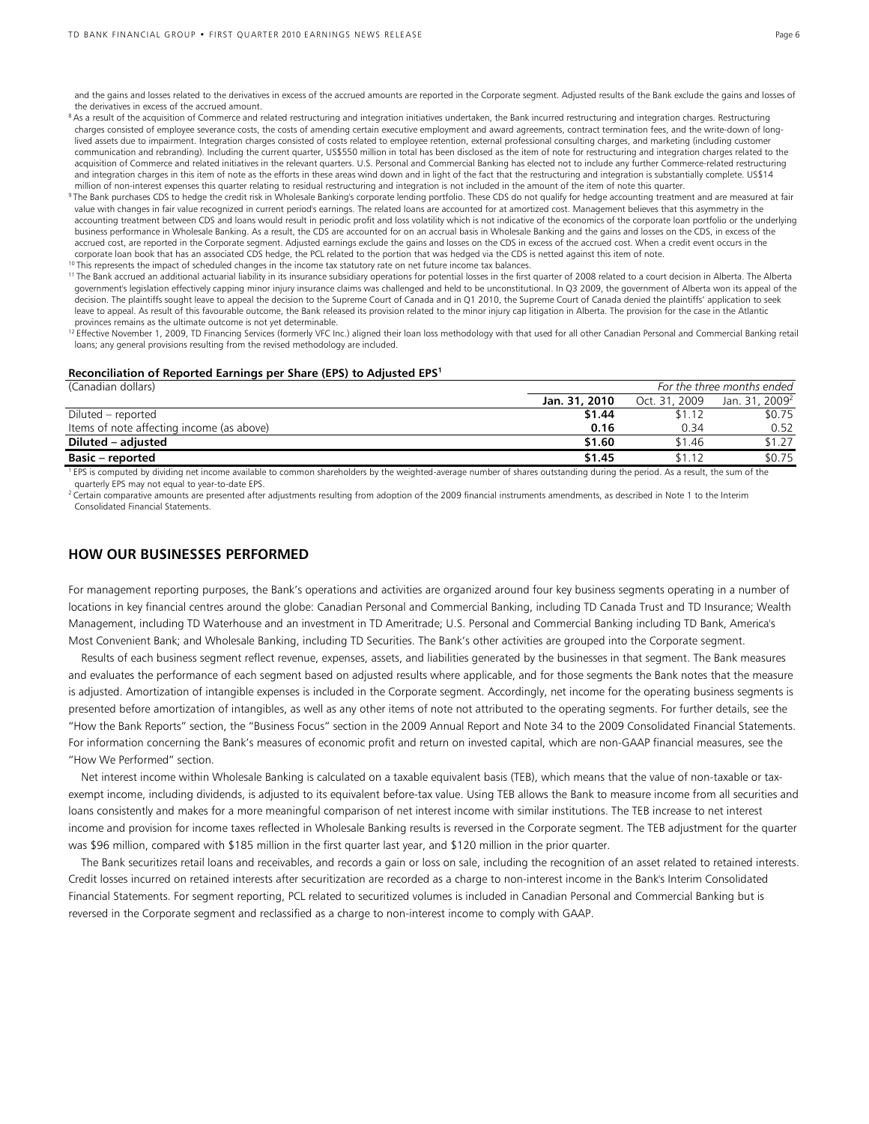and the gains and losses related to the derivatives in excess of the accrued amounts are reported in the Corporate segment. Adjusted results of the Bank exclude the gains and losses of the derivatives in excess of the accrued amount.

- <sup>8</sup> As a result of the acquisition of Commerce and related restructuring and integration initiatives undertaken, the Bank incurred restructuring and integration charges. Restructuring charges consisted of employee severance costs, the costs of amending certain executive employment and award agreements, contract termination fees, and the write-down of longlived assets due to impairment. Integration charges consisted of costs related to employee retention, external professional consulting charges, and marketing (including customer communication and rebranding). Including the current quarter, US\$550 million in total has been disclosed as the item of note for restructuring and integration charges related to the acquisition of Commerce and related initiatives in the relevant quarters. U.S. Personal and Commercial Banking has elected not to include any further Commerce-related restructuring and integration charges in this item of note as the efforts in these areas wind down and in light of the fact that the restructuring and integration is substantially complete. US\$14
- million of non-interest expenses this quarter relating to residual restructuring and integration is not included in the amount of the item of note this quarter.<br><sup>9</sup> The Bank purchases CDS to hedge the credit risk in Wholes value with changes in fair value recognized in current period's earnings. The related loans are accounted for at amortized cost. Management believes that this asymmetry in the accounting treatment between CDS and loans would result in periodic profit and loss volatility which is not indicative of the economics of the corporate loan portfolio or the underlying business performance in Wholesale Banking. As a result, the CDS are accounted for on an accrual basis in Wholesale Banking and the gains and losses on the CDS, in excess of the accrued cost, are reported in the Corporate segment. Adjusted earnings exclude the gains and losses on the CDS in excess of the accrued cost. When a credit event occurs in the corporate loan book that has an associated CDS hedge, the PCL related to the portion that was hedged via the CDS is netted against this item of note.<br><sup>10</sup> This represents the impact of scheduled changes in the income tax s

- government's legislation effectively capping minor injury insurance claims was challenged and held to be unconstitutional. In Q3 2009, the government of Alberta won its appeal of the decision. The plaintiffs sought leave to appeal the decision to the Supreme Court of Canada and in Q1 2010, the Supreme Court of Canada denied the plaintiffs' application to seek leave to appeal. As result of this favourable outcome, the Bank released its provision related to the minor injury cap litigation in Alberta. The provision for the case in the Atlantic provinces remains as the ultimate outcome is not yet determinable.
- <sup>12</sup> Effective November 1, 2009, TD Financing Services (formerly VFC Inc.) aligned their loan loss methodology with that used for all other Canadian Personal and Commercial Banking retail loans; any general provisions resulting from the revised methodology are included.

#### **Reconciliation of Reported Earnings per Share (EPS) to Adjusted EPS1**

| (Canadian dollars)                        | For the three months ended |               |                            |
|-------------------------------------------|----------------------------|---------------|----------------------------|
|                                           | Jan. 31, 2010              | Oct. 31, 2009 | Jan. 31, 2009 <sup>2</sup> |
| Diluted – reported                        | \$1.44                     | \$1.12        | \$0.75                     |
| Items of note affecting income (as above) | 0.16                       | 0.34          | 0.52                       |
| Diluted – adjusted                        | \$1.60                     | \$1.46        | \$1.27                     |
| <b>Basic – reported</b>                   | \$1.45                     | \$1.12        | \$0.75                     |

<sup>1</sup> EPS is computed by dividing net income available to common shareholders by the weighted-average number of shares outstanding during the period. As a result, the sum of the quarterly EPS may not equal to year-to-date EPS.

 $^2$  Certain comparative amounts are presented after adjustments resulting from adoption of the 2009 financial instruments amendments, as described in Note 1 to the Interim Consolidated Financial Statements.

# **HOW OUR BUSINESSES PERFORMED**

For management reporting purposes, the Bank's operations and activities are organized around four key business segments operating in a number of locations in key financial centres around the globe: Canadian Personal and Commercial Banking, including TD Canada Trust and TD Insurance; Wealth Management, including TD Waterhouse and an investment in TD Ameritrade; U.S. Personal and Commercial Banking including TD Bank, America's Most Convenient Bank; and Wholesale Banking, including TD Securities. The Bank's other activities are grouped into the Corporate segment.

Results of each business segment reflect revenue, expenses, assets, and liabilities generated by the businesses in that segment. The Bank measures and evaluates the performance of each segment based on adjusted results where applicable, and for those segments the Bank notes that the measure is adjusted. Amortization of intangible expenses is included in the Corporate segment. Accordingly, net income for the operating business segments is presented before amortization of intangibles, as well as any other items of note not attributed to the operating segments. For further details, see the "How the Bank Reports" section, the "Business Focus" section in the 2009 Annual Report and Note 34 to the 2009 Consolidated Financial Statements. For information concerning the Bank's measures of economic profit and return on invested capital, which are non-GAAP financial measures, see the "How We Performed" section.

Net interest income within Wholesale Banking is calculated on a taxable equivalent basis (TEB), which means that the value of non-taxable or taxexempt income, including dividends, is adjusted to its equivalent before-tax value. Using TEB allows the Bank to measure income from all securities and loans consistently and makes for a more meaningful comparison of net interest income with similar institutions. The TEB increase to net interest income and provision for income taxes reflected in Wholesale Banking results is reversed in the Corporate segment. The TEB adjustment for the quarter was \$96 million, compared with \$185 million in the first quarter last year, and \$120 million in the prior quarter.

The Bank securitizes retail loans and receivables, and records a gain or loss on sale, including the recognition of an asset related to retained interests. Credit losses incurred on retained interests after securitization are recorded as a charge to non-interest income in the Bank's Interim Consolidated Financial Statements. For segment reporting, PCL related to securitized volumes is included in Canadian Personal and Commercial Banking but is reversed in the Corporate segment and reclassified as a charge to non-interest income to comply with GAAP.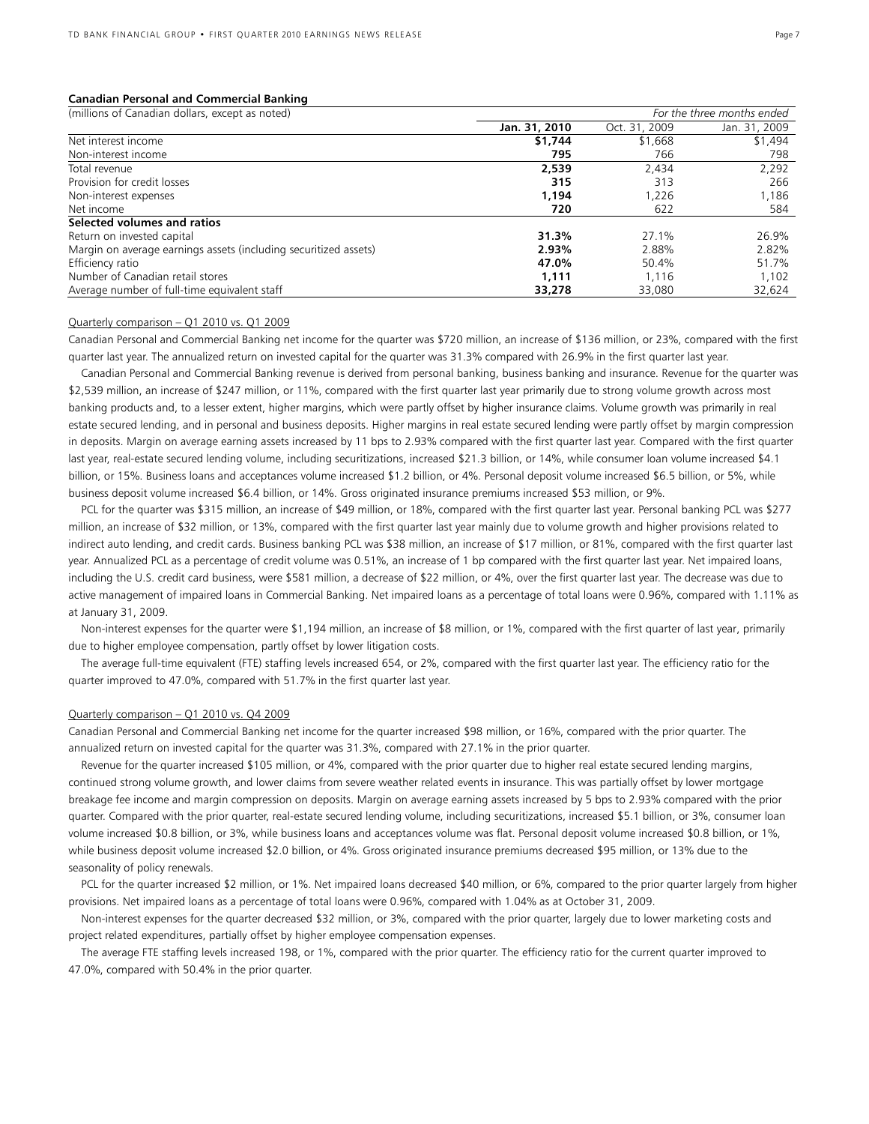#### **Canadian Personal and Commercial Banking**

| (millions of Canadian dollars, except as noted)                  | For the three months ended |               |               |
|------------------------------------------------------------------|----------------------------|---------------|---------------|
|                                                                  | Jan. 31, 2010              | Oct. 31, 2009 | Jan. 31, 2009 |
| Net interest income                                              | \$1,744                    | \$1,668       | \$1,494       |
| Non-interest income                                              | 795                        | 766           | 798           |
| Total revenue                                                    | 2,539                      | 2,434         | 2,292         |
| Provision for credit losses                                      | 315                        | 313           | 266           |
| Non-interest expenses                                            | 1.194                      | 1,226         | 1,186         |
| Net income                                                       | 720                        | 622           | 584           |
| Selected volumes and ratios                                      |                            |               |               |
| Return on invested capital                                       | 31.3%                      | 27.1%         | 26.9%         |
| Margin on average earnings assets (including securitized assets) | 2.93%                      | 2.88%         | 2.82%         |
| Efficiency ratio                                                 | 47.0%                      | 50.4%         | 51.7%         |
| Number of Canadian retail stores                                 | 1.111                      | 1.116         | 1,102         |
| Average number of full-time equivalent staff                     | 33,278                     | 33,080        | 32,624        |

# Quarterly comparison – Q1 2010 vs. Q1 2009

Canadian Personal and Commercial Banking net income for the quarter was \$720 million, an increase of \$136 million, or 23%, compared with the first quarter last year. The annualized return on invested capital for the quarter was 31.3% compared with 26.9% in the first quarter last year.

 Canadian Personal and Commercial Banking revenue is derived from personal banking, business banking and insurance. Revenue for the quarter was \$2,539 million, an increase of \$247 million, or 11%, compared with the first quarter last year primarily due to strong volume growth across most banking products and, to a lesser extent, higher margins, which were partly offset by higher insurance claims. Volume growth was primarily in real estate secured lending, and in personal and business deposits. Higher margins in real estate secured lending were partly offset by margin compression in deposits. Margin on average earning assets increased by 11 bps to 2.93% compared with the first quarter last year. Compared with the first quarter last year, real-estate secured lending volume, including securitizations, increased \$21.3 billion, or 14%, while consumer loan volume increased \$4.1 billion, or 15%. Business loans and acceptances volume increased \$1.2 billion, or 4%. Personal deposit volume increased \$6.5 billion, or 5%, while business deposit volume increased \$6.4 billion, or 14%. Gross originated insurance premiums increased \$53 million, or 9%.

 PCL for the quarter was \$315 million, an increase of \$49 million, or 18%, compared with the first quarter last year. Personal banking PCL was \$277 million, an increase of \$32 million, or 13%, compared with the first quarter last year mainly due to volume growth and higher provisions related to indirect auto lending, and credit cards. Business banking PCL was \$38 million, an increase of \$17 million, or 81%, compared with the first quarter last year. Annualized PCL as a percentage of credit volume was 0.51%, an increase of 1 bp compared with the first quarter last year. Net impaired loans, including the U.S. credit card business, were \$581 million, a decrease of \$22 million, or 4%, over the first quarter last year. The decrease was due to active management of impaired loans in Commercial Banking. Net impaired loans as a percentage of total loans were 0.96%, compared with 1.11% as at January 31, 2009.

 Non-interest expenses for the quarter were \$1,194 million, an increase of \$8 million, or 1%, compared with the first quarter of last year, primarily due to higher employee compensation, partly offset by lower litigation costs.

 The average full-time equivalent (FTE) staffing levels increased 654, or 2%, compared with the first quarter last year. The efficiency ratio for the quarter improved to 47.0%, compared with 51.7% in the first quarter last year.

#### Quarterly comparison – Q1 2010 vs. Q4 2009

Canadian Personal and Commercial Banking net income for the quarter increased \$98 million, or 16%, compared with the prior quarter. The annualized return on invested capital for the quarter was 31.3%, compared with 27.1% in the prior quarter.

 Revenue for the quarter increased \$105 million, or 4%, compared with the prior quarter due to higher real estate secured lending margins, continued strong volume growth, and lower claims from severe weather related events in insurance. This was partially offset by lower mortgage breakage fee income and margin compression on deposits. Margin on average earning assets increased by 5 bps to 2.93% compared with the prior quarter. Compared with the prior quarter, real-estate secured lending volume, including securitizations, increased \$5.1 billion, or 3%, consumer loan volume increased \$0.8 billion, or 3%, while business loans and acceptances volume was flat. Personal deposit volume increased \$0.8 billion, or 1%, while business deposit volume increased \$2.0 billion, or 4%. Gross originated insurance premiums decreased \$95 million, or 13% due to the seasonality of policy renewals.

 PCL for the quarter increased \$2 million, or 1%. Net impaired loans decreased \$40 million, or 6%, compared to the prior quarter largely from higher provisions. Net impaired loans as a percentage of total loans were 0.96%, compared with 1.04% as at October 31, 2009.

 Non-interest expenses for the quarter decreased \$32 million, or 3%, compared with the prior quarter, largely due to lower marketing costs and project related expenditures, partially offset by higher employee compensation expenses.

 The average FTE staffing levels increased 198, or 1%, compared with the prior quarter. The efficiency ratio for the current quarter improved to 47.0%, compared with 50.4% in the prior quarter.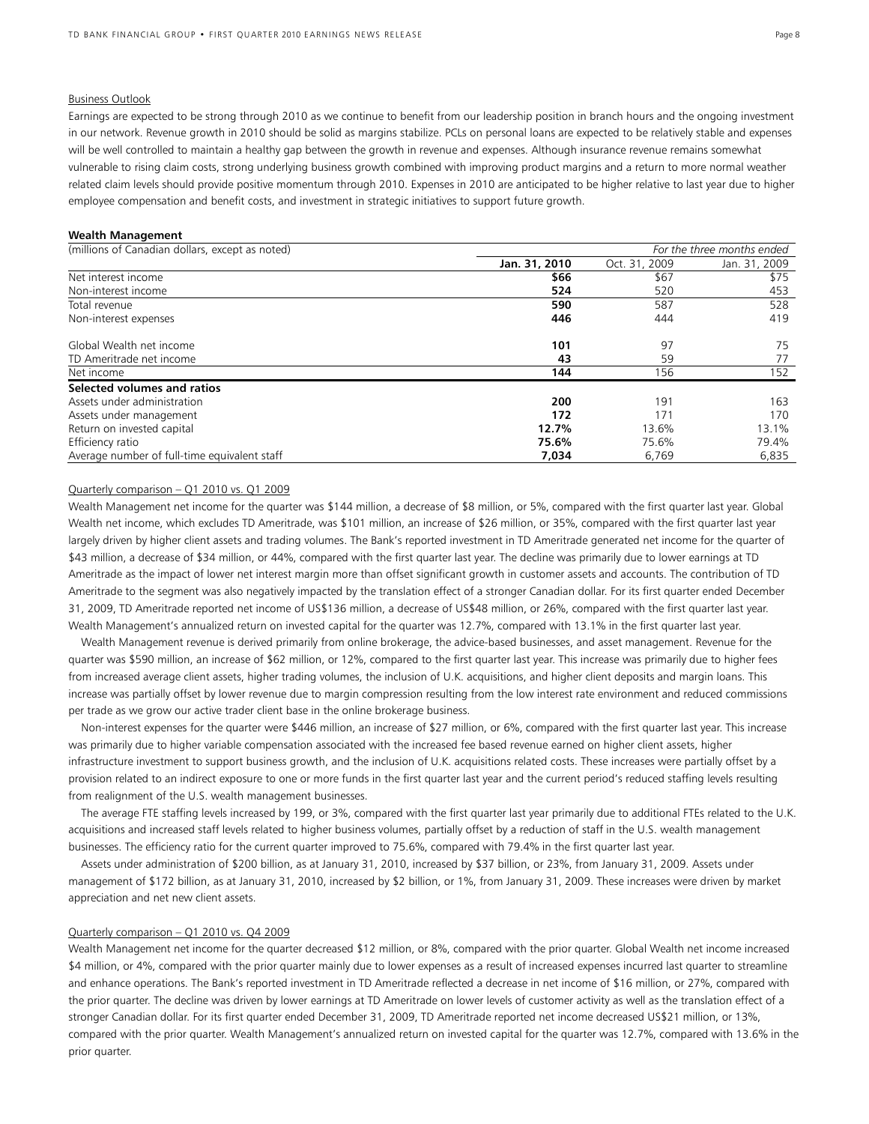## Business Outlook

Earnings are expected to be strong through 2010 as we continue to benefit from our leadership position in branch hours and the ongoing investment in our network. Revenue growth in 2010 should be solid as margins stabilize. PCLs on personal loans are expected to be relatively stable and expenses will be well controlled to maintain a healthy gap between the growth in revenue and expenses. Although insurance revenue remains somewhat vulnerable to rising claim costs, strong underlying business growth combined with improving product margins and a return to more normal weather related claim levels should provide positive momentum through 2010. Expenses in 2010 are anticipated to be higher relative to last year due to higher employee compensation and benefit costs, and investment in strategic initiatives to support future growth.

## **Wealth Management**

| (millions of Canadian dollars, except as noted) |               | For the three months ended |               |
|-------------------------------------------------|---------------|----------------------------|---------------|
|                                                 | Jan. 31, 2010 | Oct. 31, 2009              | Jan. 31, 2009 |
| Net interest income                             | \$66          | \$67                       | \$75          |
| Non-interest income                             | 524           | 520                        | 453           |
| Total revenue                                   | 590           | 587                        | 528           |
| Non-interest expenses                           | 446           | 444                        | 419           |
| Global Wealth net income                        | 101           | 97                         | 75            |
| TD Ameritrade net income                        | 43            | 59                         | 77            |
| Net income                                      | 144           | 156                        | 152           |
| Selected volumes and ratios                     |               |                            |               |
| Assets under administration                     | 200           | 191                        | 163           |
| Assets under management                         | 172           | 171                        | 170           |
| Return on invested capital                      | 12.7%         | 13.6%                      | 13.1%         |
| Efficiency ratio                                | 75.6%         | 75.6%                      | 79.4%         |
| Average number of full-time equivalent staff    | 7.034         | 6.769                      | 6.835         |

# Quarterly comparison – Q1 2010 vs. Q1 2009

Wealth Management net income for the quarter was \$144 million, a decrease of \$8 million, or 5%, compared with the first quarter last year. Global Wealth net income, which excludes TD Ameritrade, was \$101 million, an increase of \$26 million, or 35%, compared with the first quarter last year largely driven by higher client assets and trading volumes. The Bank's reported investment in TD Ameritrade generated net income for the quarter of \$43 million, a decrease of \$34 million, or 44%, compared with the first quarter last year. The decline was primarily due to lower earnings at TD Ameritrade as the impact of lower net interest margin more than offset significant growth in customer assets and accounts. The contribution of TD Ameritrade to the segment was also negatively impacted by the translation effect of a stronger Canadian dollar. For its first quarter ended December 31, 2009, TD Ameritrade reported net income of US\$136 million, a decrease of US\$48 million, or 26%, compared with the first quarter last year. Wealth Management's annualized return on invested capital for the quarter was 12.7%, compared with 13.1% in the first quarter last year.

 Wealth Management revenue is derived primarily from online brokerage, the advice-based businesses, and asset management. Revenue for the quarter was \$590 million, an increase of \$62 million, or 12%, compared to the first quarter last year. This increase was primarily due to higher fees from increased average client assets, higher trading volumes, the inclusion of U.K. acquisitions, and higher client deposits and margin loans. This increase was partially offset by lower revenue due to margin compression resulting from the low interest rate environment and reduced commissions per trade as we grow our active trader client base in the online brokerage business.

 Non-interest expenses for the quarter were \$446 million, an increase of \$27 million, or 6%, compared with the first quarter last year. This increase was primarily due to higher variable compensation associated with the increased fee based revenue earned on higher client assets, higher infrastructure investment to support business growth, and the inclusion of U.K. acquisitions related costs. These increases were partially offset by a provision related to an indirect exposure to one or more funds in the first quarter last year and the current period's reduced staffing levels resulting from realignment of the U.S. wealth management businesses.

 The average FTE staffing levels increased by 199, or 3%, compared with the first quarter last year primarily due to additional FTEs related to the U.K. acquisitions and increased staff levels related to higher business volumes, partially offset by a reduction of staff in the U.S. wealth management businesses. The efficiency ratio for the current quarter improved to 75.6%, compared with 79.4% in the first quarter last year.

 Assets under administration of \$200 billion, as at January 31, 2010, increased by \$37 billion, or 23%, from January 31, 2009. Assets under management of \$172 billion, as at January 31, 2010, increased by \$2 billion, or 1%, from January 31, 2009. These increases were driven by market appreciation and net new client assets.

#### Quarterly comparison – Q1 2010 vs. Q4 2009

Wealth Management net income for the quarter decreased \$12 million, or 8%, compared with the prior quarter. Global Wealth net income increased \$4 million, or 4%, compared with the prior quarter mainly due to lower expenses as a result of increased expenses incurred last quarter to streamline and enhance operations. The Bank's reported investment in TD Ameritrade reflected a decrease in net income of \$16 million, or 27%, compared with the prior quarter. The decline was driven by lower earnings at TD Ameritrade on lower levels of customer activity as well as the translation effect of a stronger Canadian dollar. For its first quarter ended December 31, 2009, TD Ameritrade reported net income decreased US\$21 million, or 13%, compared with the prior quarter. Wealth Management's annualized return on invested capital for the quarter was 12.7%, compared with 13.6% in the prior quarter.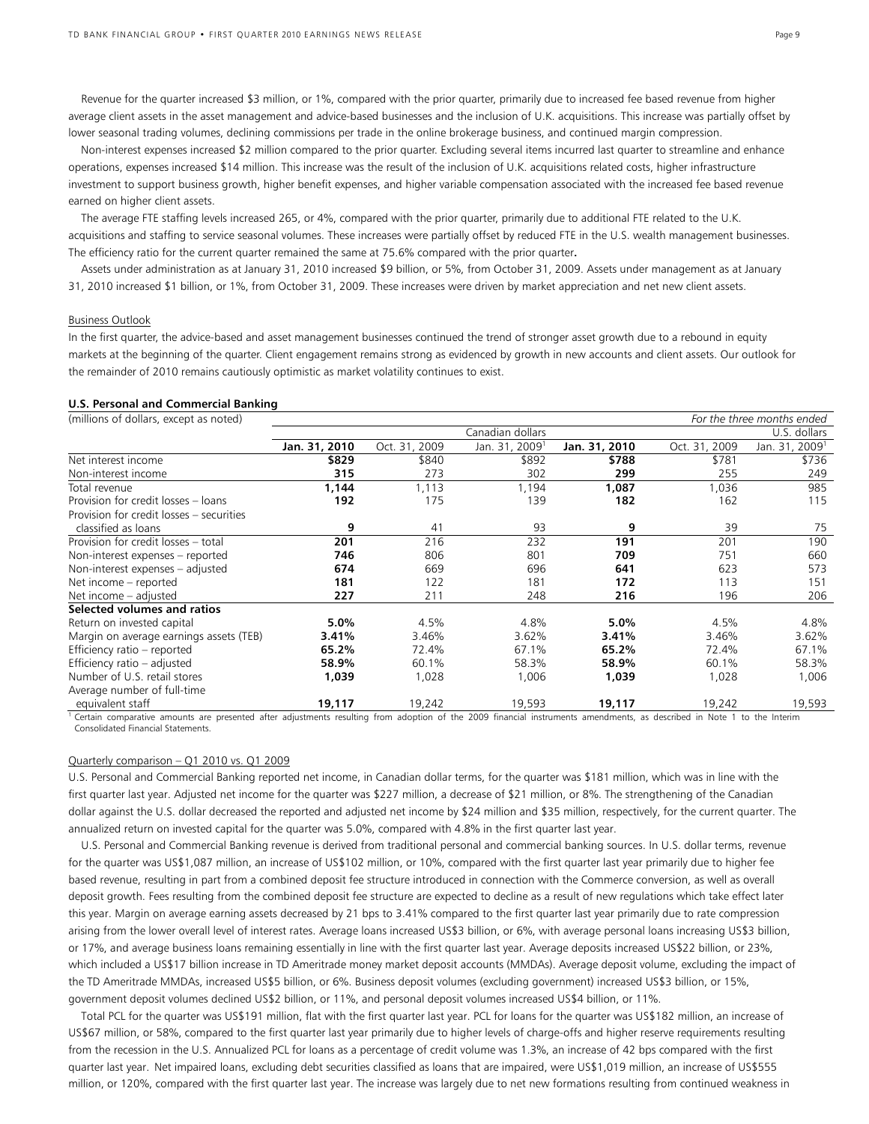Revenue for the quarter increased \$3 million, or 1%, compared with the prior quarter, primarily due to increased fee based revenue from higher average client assets in the asset management and advice-based businesses and the inclusion of U.K. acquisitions. This increase was partially offset by lower seasonal trading volumes, declining commissions per trade in the online brokerage business, and continued margin compression.

 Non-interest expenses increased \$2 million compared to the prior quarter. Excluding several items incurred last quarter to streamline and enhance operations, expenses increased \$14 million. This increase was the result of the inclusion of U.K. acquisitions related costs, higher infrastructure investment to support business growth, higher benefit expenses, and higher variable compensation associated with the increased fee based revenue earned on higher client assets.

 The average FTE staffing levels increased 265, or 4%, compared with the prior quarter, primarily due to additional FTE related to the U.K. acquisitions and staffing to service seasonal volumes. These increases were partially offset by reduced FTE in the U.S. wealth management businesses. The efficiency ratio for the current quarter remained the same at 75.6% compared with the prior quarter**.** 

 Assets under administration as at January 31, 2010 increased \$9 billion, or 5%, from October 31, 2009. Assets under management as at January 31, 2010 increased \$1 billion, or 1%, from October 31, 2009. These increases were driven by market appreciation and net new client assets.

# Business Outlook

In the first quarter, the advice-based and asset management businesses continued the trend of stronger asset growth due to a rebound in equity markets at the beginning of the quarter. Client engagement remains strong as evidenced by growth in new accounts and client assets. Our outlook for the remainder of 2010 remains cautiously optimistic as market volatility continues to exist.

#### **U.S. Personal and Commercial Banking**

| (millions of dollars, except as noted)   |               |               |                            |               |               | For the three months ended |
|------------------------------------------|---------------|---------------|----------------------------|---------------|---------------|----------------------------|
|                                          |               |               | Canadian dollars           |               |               | U.S. dollars               |
|                                          | Jan. 31, 2010 | Oct. 31, 2009 | Jan. 31, 2009 <sup>1</sup> | Jan. 31, 2010 | Oct. 31, 2009 | Jan. 31, 2009 <sup>1</sup> |
| Net interest income                      | \$829         | \$840         | \$892                      | \$788         | \$781         | \$736                      |
| Non-interest income                      | 315           | 273           | 302                        | 299           | 255           | 249                        |
| Total revenue                            | 1.144         | 1,113         | 1,194                      | 1.087         | 1,036         | 985                        |
| Provision for credit losses - loans      | 192           | 175           | 139                        | 182           | 162           | 115                        |
| Provision for credit losses - securities |               |               |                            |               |               |                            |
| classified as loans                      | 9             | 41            | 93                         | 9             | 39            | 75                         |
| Provision for credit losses - total      | 201           | 216           | 232                        | 191           | 201           | 190                        |
| Non-interest expenses - reported         | 746           | 806           | 801                        | 709           | 751           | 660                        |
| Non-interest expenses - adjusted         | 674           | 669           | 696                        | 641           | 623           | 573                        |
| Net income - reported                    | 181           | 122           | 181                        | 172           | 113           | 151                        |
| Net income - adjusted                    | 227           | 211           | 248                        | 216           | 196           | 206                        |
| Selected volumes and ratios              |               |               |                            |               |               |                            |
| Return on invested capital               | 5.0%          | 4.5%          | 4.8%                       | 5.0%          | 4.5%          | 4.8%                       |
| Margin on average earnings assets (TEB)  | 3.41%         | 3.46%         | 3.62%                      | 3.41%         | 3.46%         | 3.62%                      |
| Efficiency ratio - reported              | 65.2%         | 72.4%         | 67.1%                      | 65.2%         | 72.4%         | 67.1%                      |
| Efficiency ratio - adjusted              | 58.9%         | 60.1%         | 58.3%                      | 58.9%         | 60.1%         | 58.3%                      |
| Number of U.S. retail stores             | 1,039         | 1,028         | 1,006                      | 1,039         | 1,028         | 1,006                      |
| Average number of full-time              |               |               |                            |               |               |                            |
| equivalent staff                         | 19,117        | 19,242        | 19,593                     | 19,117        | 19,242        | 19,593                     |

Certain comparative amounts are presented after adjustments resulting from adoption of the 2009 financial instruments amendments, as described in Note 1 to the Interim Consolidated Financial Statements.

# Quarterly comparison – Q1 2010 vs. Q1 2009

U.S. Personal and Commercial Banking reported net income, in Canadian dollar terms, for the quarter was \$181 million, which was in line with the first quarter last year. Adjusted net income for the quarter was \$227 million, a decrease of \$21 million, or 8%. The strengthening of the Canadian dollar against the U.S. dollar decreased the reported and adjusted net income by \$24 million and \$35 million, respectively, for the current quarter. The annualized return on invested capital for the quarter was 5.0%, compared with 4.8% in the first quarter last year.

 U.S. Personal and Commercial Banking revenue is derived from traditional personal and commercial banking sources. In U.S. dollar terms, revenue for the quarter was US\$1,087 million, an increase of US\$102 million, or 10%, compared with the first quarter last year primarily due to higher fee based revenue, resulting in part from a combined deposit fee structure introduced in connection with the Commerce conversion, as well as overall deposit growth. Fees resulting from the combined deposit fee structure are expected to decline as a result of new regulations which take effect later this year. Margin on average earning assets decreased by 21 bps to 3.41% compared to the first quarter last year primarily due to rate compression arising from the lower overall level of interest rates. Average loans increased US\$3 billion, or 6%, with average personal loans increasing US\$3 billion, or 17%, and average business loans remaining essentially in line with the first quarter last year. Average deposits increased US\$22 billion, or 23%, which included a US\$17 billion increase in TD Ameritrade money market deposit accounts (MMDAs). Average deposit volume, excluding the impact of the TD Ameritrade MMDAs, increased US\$5 billion, or 6%. Business deposit volumes (excluding government) increased US\$3 billion, or 15%, government deposit volumes declined US\$2 billion, or 11%, and personal deposit volumes increased US\$4 billion, or 11%.

Total PCL for the quarter was US\$191 million, flat with the first quarter last year. PCL for loans for the quarter was US\$182 million, an increase of US\$67 million, or 58%, compared to the first quarter last year primarily due to higher levels of charge-offs and higher reserve requirements resulting from the recession in the U.S. Annualized PCL for loans as a percentage of credit volume was 1.3%, an increase of 42 bps compared with the first quarter last year. Net impaired loans, excluding debt securities classified as loans that are impaired, were US\$1,019 million, an increase of US\$555 million, or 120%, compared with the first quarter last year. The increase was largely due to net new formations resulting from continued weakness in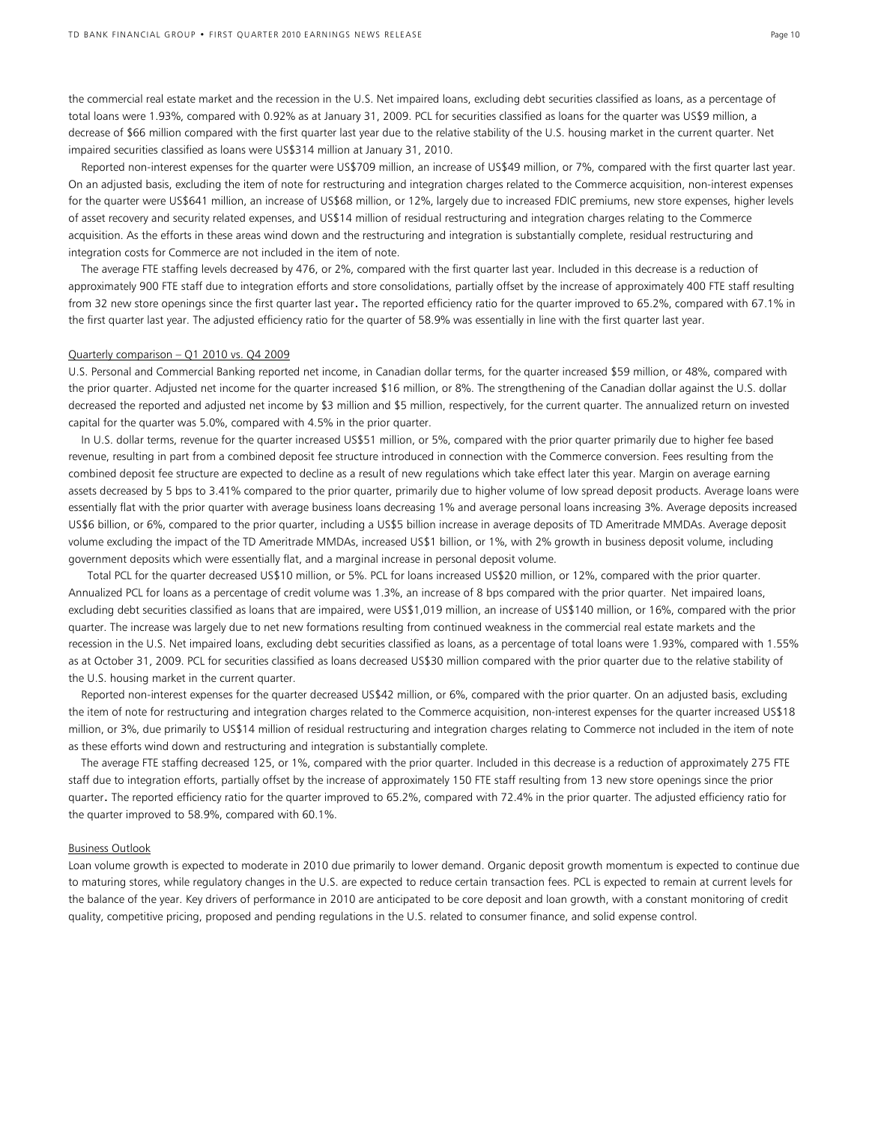the commercial real estate market and the recession in the U.S. Net impaired loans, excluding debt securities classified as loans, as a percentage of total loans were 1.93%, compared with 0.92% as at January 31, 2009. PCL for securities classified as loans for the quarter was US\$9 million, a decrease of \$66 million compared with the first quarter last year due to the relative stability of the U.S. housing market in the current quarter. Net impaired securities classified as loans were US\$314 million at January 31, 2010.

 Reported non-interest expenses for the quarter were US\$709 million, an increase of US\$49 million, or 7%, compared with the first quarter last year. On an adjusted basis, excluding the item of note for restructuring and integration charges related to the Commerce acquisition, non-interest expenses for the quarter were US\$641 million, an increase of US\$68 million, or 12%, largely due to increased FDIC premiums, new store expenses, higher levels of asset recovery and security related expenses, and US\$14 million of residual restructuring and integration charges relating to the Commerce acquisition. As the efforts in these areas wind down and the restructuring and integration is substantially complete, residual restructuring and integration costs for Commerce are not included in the item of note.

 The average FTE staffing levels decreased by 476, or 2%, compared with the first quarter last year. Included in this decrease is a reduction of approximately 900 FTE staff due to integration efforts and store consolidations, partially offset by the increase of approximately 400 FTE staff resulting from 32 new store openings since the first quarter last year. The reported efficiency ratio for the quarter improved to 65.2%, compared with 67.1% in the first quarter last year. The adjusted efficiency ratio for the quarter of 58.9% was essentially in line with the first quarter last year.

#### Quarterly comparison – Q1 2010 vs. Q4 2009

U.S. Personal and Commercial Banking reported net income, in Canadian dollar terms, for the quarter increased \$59 million, or 48%, compared with the prior quarter. Adjusted net income for the quarter increased \$16 million, or 8%. The strengthening of the Canadian dollar against the U.S. dollar decreased the reported and adjusted net income by \$3 million and \$5 million, respectively, for the current quarter. The annualized return on invested capital for the quarter was 5.0%, compared with 4.5% in the prior quarter.

 In U.S. dollar terms, revenue for the quarter increased US\$51 million, or 5%, compared with the prior quarter primarily due to higher fee based revenue, resulting in part from a combined deposit fee structure introduced in connection with the Commerce conversion. Fees resulting from the combined deposit fee structure are expected to decline as a result of new regulations which take effect later this year. Margin on average earning assets decreased by 5 bps to 3.41% compared to the prior quarter, primarily due to higher volume of low spread deposit products. Average loans were essentially flat with the prior quarter with average business loans decreasing 1% and average personal loans increasing 3%. Average deposits increased US\$6 billion, or 6%, compared to the prior quarter, including a US\$5 billion increase in average deposits of TD Ameritrade MMDAs. Average deposit volume excluding the impact of the TD Ameritrade MMDAs, increased US\$1 billion, or 1%, with 2% growth in business deposit volume, including government deposits which were essentially flat, and a marginal increase in personal deposit volume.

 Total PCL for the quarter decreased US\$10 million, or 5%. PCL for loans increased US\$20 million, or 12%, compared with the prior quarter. Annualized PCL for loans as a percentage of credit volume was 1.3%, an increase of 8 bps compared with the prior quarter. Net impaired loans, excluding debt securities classified as loans that are impaired, were US\$1,019 million, an increase of US\$140 million, or 16%, compared with the prior quarter. The increase was largely due to net new formations resulting from continued weakness in the commercial real estate markets and the recession in the U.S. Net impaired loans, excluding debt securities classified as loans, as a percentage of total loans were 1.93%, compared with 1.55% as at October 31, 2009. PCL for securities classified as loans decreased US\$30 million compared with the prior quarter due to the relative stability of the U.S. housing market in the current quarter.

 Reported non-interest expenses for the quarter decreased US\$42 million, or 6%, compared with the prior quarter. On an adjusted basis, excluding the item of note for restructuring and integration charges related to the Commerce acquisition, non-interest expenses for the quarter increased US\$18 million, or 3%, due primarily to US\$14 million of residual restructuring and integration charges relating to Commerce not included in the item of note as these efforts wind down and restructuring and integration is substantially complete.

 The average FTE staffing decreased 125, or 1%, compared with the prior quarter. Included in this decrease is a reduction of approximately 275 FTE staff due to integration efforts, partially offset by the increase of approximately 150 FTE staff resulting from 13 new store openings since the prior quarter. The reported efficiency ratio for the quarter improved to 65.2%, compared with 72.4% in the prior quarter. The adjusted efficiency ratio for the quarter improved to 58.9%, compared with 60.1%.

## Business Outlook

Loan volume growth is expected to moderate in 2010 due primarily to lower demand. Organic deposit growth momentum is expected to continue due to maturing stores, while regulatory changes in the U.S. are expected to reduce certain transaction fees. PCL is expected to remain at current levels for the balance of the year. Key drivers of performance in 2010 are anticipated to be core deposit and loan growth, with a constant monitoring of credit quality, competitive pricing, proposed and pending regulations in the U.S. related to consumer finance, and solid expense control.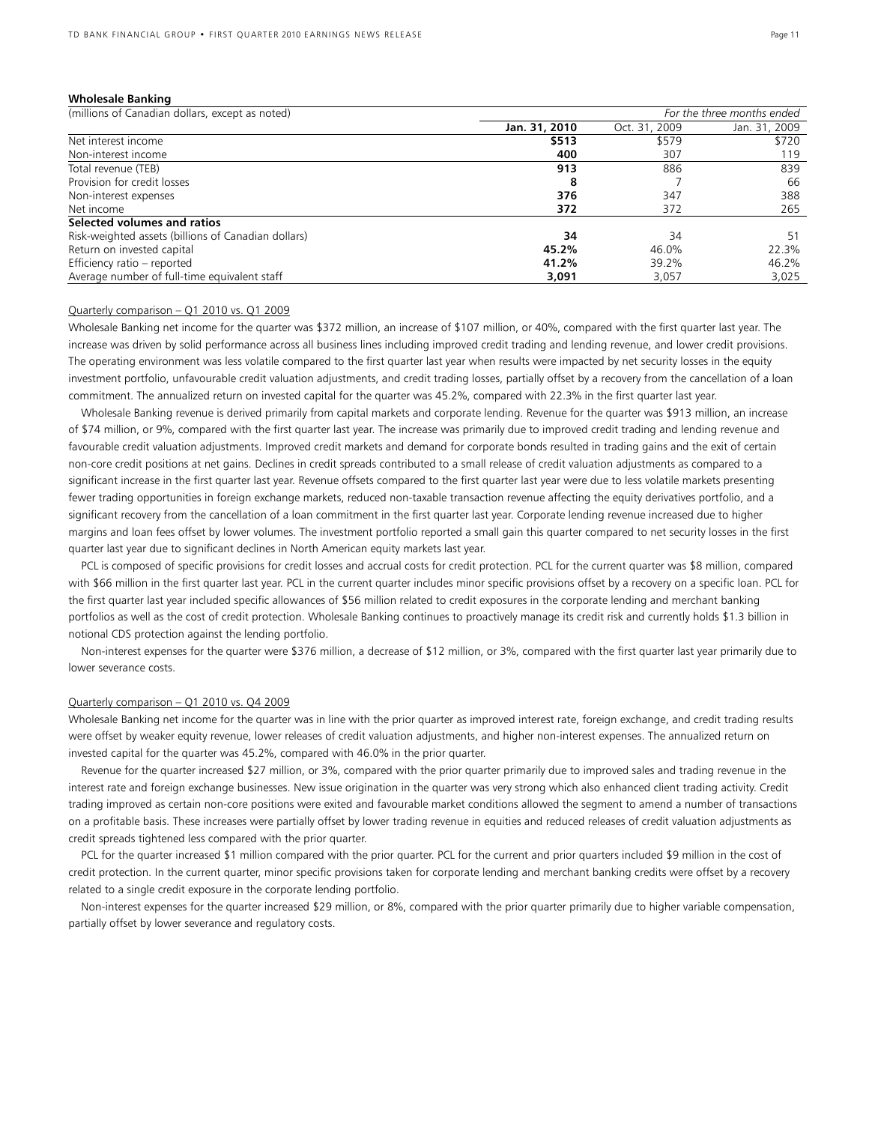#### **Wholesale Banking**

| (millions of Canadian dollars, except as noted)     | For the three months ended |               |               |
|-----------------------------------------------------|----------------------------|---------------|---------------|
|                                                     | Jan. 31, 2010              | Oct. 31, 2009 | Jan. 31, 2009 |
| Net interest income                                 | \$513                      | \$579         | \$720         |
| Non-interest income                                 | 400                        | 307           | 119           |
| Total revenue (TEB)                                 | 913                        | 886           | 839           |
| Provision for credit losses                         | 8                          |               | 66            |
| Non-interest expenses                               | 376                        | 347           | 388           |
| Net income                                          | 372                        | 372           | 265           |
| Selected volumes and ratios                         |                            |               |               |
| Risk-weighted assets (billions of Canadian dollars) | 34                         | 34            | 51            |
| Return on invested capital                          | 45.2%                      | 46.0%         | 22.3%         |
| Efficiency ratio - reported                         | 41.2%                      | 39.2%         | 46.2%         |
| Average number of full-time equivalent staff        | 3,091                      | 3,057         | 3,025         |

#### Quarterly comparison – Q1 2010 vs. Q1 2009

Wholesale Banking net income for the quarter was \$372 million, an increase of \$107 million, or 40%, compared with the first quarter last year. The increase was driven by solid performance across all business lines including improved credit trading and lending revenue, and lower credit provisions. The operating environment was less volatile compared to the first quarter last year when results were impacted by net security losses in the equity investment portfolio, unfavourable credit valuation adjustments, and credit trading losses, partially offset by a recovery from the cancellation of a loan commitment. The annualized return on invested capital for the quarter was 45.2%, compared with 22.3% in the first quarter last year.

Wholesale Banking revenue is derived primarily from capital markets and corporate lending. Revenue for the quarter was \$913 million, an increase of \$74 million, or 9%, compared with the first quarter last year. The increase was primarily due to improved credit trading and lending revenue and favourable credit valuation adjustments. Improved credit markets and demand for corporate bonds resulted in trading gains and the exit of certain non-core credit positions at net gains. Declines in credit spreads contributed to a small release of credit valuation adjustments as compared to a significant increase in the first quarter last year. Revenue offsets compared to the first quarter last year were due to less volatile markets presenting fewer trading opportunities in foreign exchange markets, reduced non-taxable transaction revenue affecting the equity derivatives portfolio, and a significant recovery from the cancellation of a loan commitment in the first quarter last year. Corporate lending revenue increased due to higher margins and loan fees offset by lower volumes. The investment portfolio reported a small gain this quarter compared to net security losses in the first quarter last year due to significant declines in North American equity markets last year.

PCL is composed of specific provisions for credit losses and accrual costs for credit protection. PCL for the current quarter was \$8 million, compared with \$66 million in the first quarter last year. PCL in the current quarter includes minor specific provisions offset by a recovery on a specific loan. PCL for the first quarter last year included specific allowances of \$56 million related to credit exposures in the corporate lending and merchant banking portfolios as well as the cost of credit protection. Wholesale Banking continues to proactively manage its credit risk and currently holds \$1.3 billion in notional CDS protection against the lending portfolio.

Non-interest expenses for the quarter were \$376 million, a decrease of \$12 million, or 3%, compared with the first quarter last year primarily due to lower severance costs.

# Quarterly comparison – Q1 2010 vs. Q4 2009

Wholesale Banking net income for the quarter was in line with the prior quarter as improved interest rate, foreign exchange, and credit trading results were offset by weaker equity revenue, lower releases of credit valuation adjustments, and higher non-interest expenses. The annualized return on invested capital for the quarter was 45.2%, compared with 46.0% in the prior quarter.

 Revenue for the quarter increased \$27 million, or 3%, compared with the prior quarter primarily due to improved sales and trading revenue in the interest rate and foreign exchange businesses. New issue origination in the quarter was very strong which also enhanced client trading activity. Credit trading improved as certain non-core positions were exited and favourable market conditions allowed the segment to amend a number of transactions on a profitable basis. These increases were partially offset by lower trading revenue in equities and reduced releases of credit valuation adjustments as credit spreads tightened less compared with the prior quarter.

PCL for the quarter increased \$1 million compared with the prior quarter. PCL for the current and prior quarters included \$9 million in the cost of credit protection. In the current quarter, minor specific provisions taken for corporate lending and merchant banking credits were offset by a recovery related to a single credit exposure in the corporate lending portfolio.

 Non-interest expenses for the quarter increased \$29 million, or 8%, compared with the prior quarter primarily due to higher variable compensation, partially offset by lower severance and regulatory costs.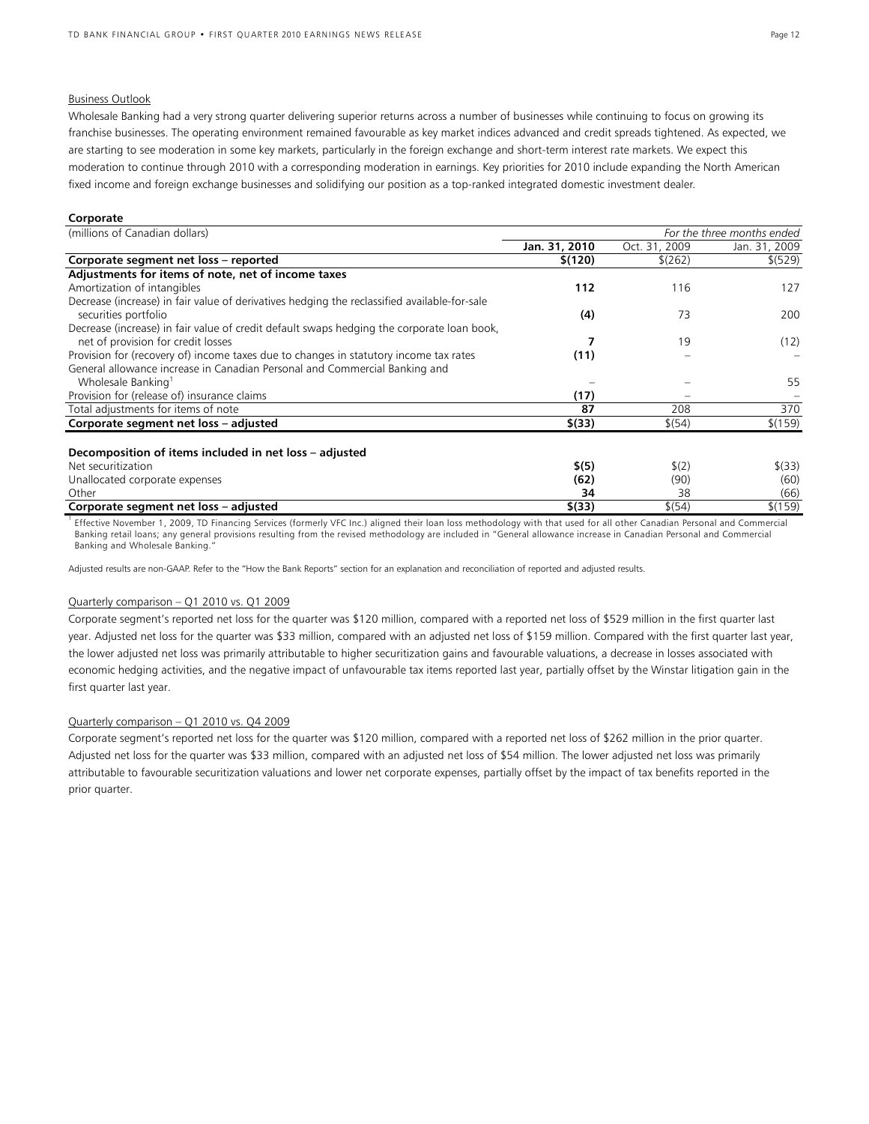# Business Outlook

Wholesale Banking had a very strong quarter delivering superior returns across a number of businesses while continuing to focus on growing its franchise businesses. The operating environment remained favourable as key market indices advanced and credit spreads tightened. As expected, we are starting to see moderation in some key markets, particularly in the foreign exchange and short-term interest rate markets. We expect this moderation to continue through 2010 with a corresponding moderation in earnings. Key priorities for 2010 include expanding the North American fixed income and foreign exchange businesses and solidifying our position as a top-ranked integrated domestic investment dealer.

#### **Corporate**

| (millions of Canadian dollars)                                                                                                   | For the three months ended |                   |               |
|----------------------------------------------------------------------------------------------------------------------------------|----------------------------|-------------------|---------------|
|                                                                                                                                  | Jan. 31, 2010              | Oct. 31, 2009     | Jan. 31, 2009 |
| Corporate segment net loss - reported                                                                                            | \$(120)                    | \$(262)           | \$ (529)      |
| Adjustments for items of note, net of income taxes                                                                               |                            |                   |               |
| Amortization of intangibles                                                                                                      | 112                        | 116               | 127           |
| Decrease (increase) in fair value of derivatives hedging the reclassified available-for-sale<br>securities portfolio             | (4)                        | 73                | 200           |
| Decrease (increase) in fair value of credit default swaps hedging the corporate loan book,<br>net of provision for credit losses |                            | 19                | (12)          |
| Provision for (recovery of) income taxes due to changes in statutory income tax rates                                            | (11)                       |                   |               |
| General allowance increase in Canadian Personal and Commercial Banking and                                                       |                            |                   |               |
| Wholesale Banking <sup>1</sup>                                                                                                   |                            |                   | 55            |
| Provision for (release of) insurance claims                                                                                      | (17)                       |                   |               |
| Total adjustments for items of note                                                                                              | 87                         | 208               | 370           |
| Corporate segment net loss - adjusted                                                                                            | \$(33)                     | \$(54)            | \$(159)       |
| Decomposition of items included in net loss – adjusted                                                                           |                            |                   |               |
| Net securitization                                                                                                               | \$(5)                      | $\frac{1}{2}$ (2) | $$^{(33)}$$   |
| Unallocated corporate expenses                                                                                                   | (62)                       | (90)              | (60)          |
| Other                                                                                                                            | 34                         | 38                | (66)          |
| Corporate segment net loss - adjusted                                                                                            | \$(33)                     | \$(54)            | \$(159)       |

<sup>1</sup> Effective November 1, 2009, TD Financing Services (formerly VFC Inc.) aligned their loan loss methodology with that used for all other Canadian Personal and Commercial Banking retail loans; any general provisions resulting from the revised methodology are included in "General allowance increase in Canadian Personal and Commercial Banking and Wholesale Banking."

Adjusted results are non-GAAP. Refer to the "How the Bank Reports" section for an explanation and reconciliation of reported and adjusted results.

## Quarterly comparison – Q1 2010 vs. Q1 2009

Corporate segment's reported net loss for the quarter was \$120 million, compared with a reported net loss of \$529 million in the first quarter last year. Adjusted net loss for the quarter was \$33 million, compared with an adjusted net loss of \$159 million. Compared with the first quarter last year, the lower adjusted net loss was primarily attributable to higher securitization gains and favourable valuations, a decrease in losses associated with economic hedging activities, and the negative impact of unfavourable tax items reported last year, partially offset by the Winstar litigation gain in the first quarter last year.

# Quarterly comparison – Q1 2010 vs. Q4 2009

Corporate segment's reported net loss for the quarter was \$120 million, compared with a reported net loss of \$262 million in the prior quarter. Adjusted net loss for the quarter was \$33 million, compared with an adjusted net loss of \$54 million. The lower adjusted net loss was primarily attributable to favourable securitization valuations and lower net corporate expenses, partially offset by the impact of tax benefits reported in the prior quarter.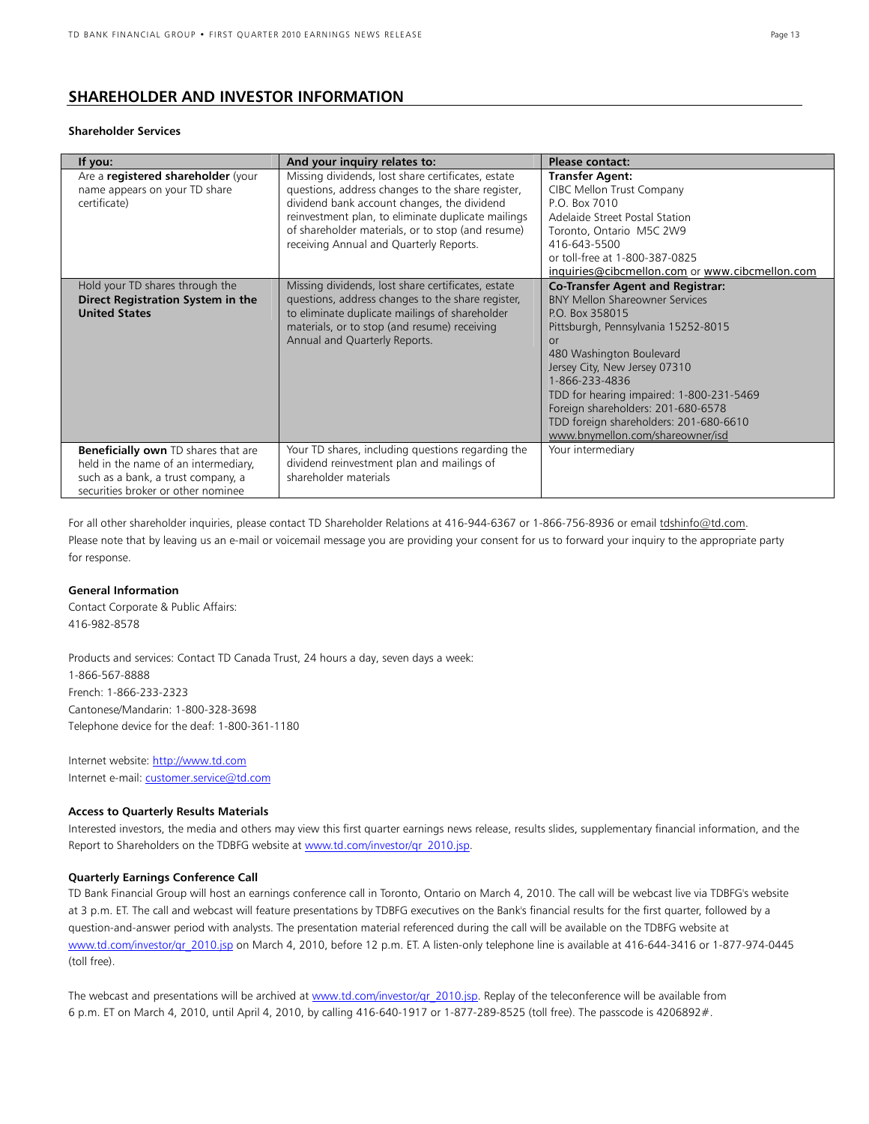# **SHAREHOLDER AND INVESTOR INFORMATION**

# **Shareholder Services**

| If you:                                                                                                                                                        | And your inquiry relates to:                                                                                                                                                                                                                                                                                 | Please contact:                                                                                                                                                                                                                                                                                                                                                                               |
|----------------------------------------------------------------------------------------------------------------------------------------------------------------|--------------------------------------------------------------------------------------------------------------------------------------------------------------------------------------------------------------------------------------------------------------------------------------------------------------|-----------------------------------------------------------------------------------------------------------------------------------------------------------------------------------------------------------------------------------------------------------------------------------------------------------------------------------------------------------------------------------------------|
| Are a registered shareholder (your<br>name appears on your TD share<br>certificate)                                                                            | Missing dividends, lost share certificates, estate<br>questions, address changes to the share register,<br>dividend bank account changes, the dividend<br>reinvestment plan, to eliminate duplicate mailings<br>of shareholder materials, or to stop (and resume)<br>receiving Annual and Quarterly Reports. | <b>Transfer Agent:</b><br>CIBC Mellon Trust Company<br>P.O. Box 7010<br>Adelaide Street Postal Station<br>Toronto, Ontario M5C 2W9<br>416-643-5500<br>or toll-free at 1-800-387-0825<br>inquiries@cibcmellon.com or www.cibcmellon.com                                                                                                                                                        |
| Hold your TD shares through the<br>Direct Registration System in the<br><b>United States</b>                                                                   | Missing dividends, lost share certificates, estate<br>questions, address changes to the share register,<br>to eliminate duplicate mailings of shareholder<br>materials, or to stop (and resume) receiving<br>Annual and Quarterly Reports.                                                                   | <b>Co-Transfer Agent and Registrar:</b><br><b>BNY Mellon Shareowner Services</b><br>PO Box 358015<br>Pittsburgh, Pennsylvania 15252-8015<br>or<br>480 Washington Boulevard<br>Jersey City, New Jersey 07310<br>1-866-233-4836<br>TDD for hearing impaired: 1-800-231-5469<br>Foreign shareholders: 201-680-6578<br>TDD foreign shareholders: 201-680-6610<br>www.bnymellon.com/shareowner/isd |
| <b>Beneficially own</b> TD shares that are<br>held in the name of an intermediary,<br>such as a bank, a trust company, a<br>securities broker or other nominee | Your TD shares, including questions regarding the<br>dividend reinvestment plan and mailings of<br>shareholder materials                                                                                                                                                                                     | Your intermediary                                                                                                                                                                                                                                                                                                                                                                             |

For all other shareholder inquiries, please contact TD Shareholder Relations at 416-944-6367 or 1-866-756-8936 or email tdshinfo@td.com. Please note that by leaving us an e-mail or voicemail message you are providing your consent for us to forward your inquiry to the appropriate party for response.

# **General Information**

Contact Corporate & Public Affairs: 416-982-8578

Products and services: Contact TD Canada Trust, 24 hours a day, seven days a week: 1-866-567-8888 French: 1-866-233-2323 Cantonese/Mandarin: 1-800-328-3698 Telephone device for the deaf: 1-800-361-1180

Internet website: http://www.td.com Internet e-mail: customer.service@td.com

# **Access to Quarterly Results Materials**

Interested investors, the media and others may view this first quarter earnings news release, results slides, supplementary financial information, and the Report to Shareholders on the TDBFG website at www.td.com/investor/qr\_2010.jsp.

# **Quarterly Earnings Conference Call**

TD Bank Financial Group will host an earnings conference call in Toronto, Ontario on March 4, 2010. The call will be webcast live via TDBFG's website at 3 p.m. ET. The call and webcast will feature presentations by TDBFG executives on the Bank's financial results for the first quarter, followed by a question-and-answer period with analysts. The presentation material referenced during the call will be available on the TDBFG website at www.td.com/investor/qr\_2010.jsp on March 4, 2010, before 12 p.m. ET. A listen-only telephone line is available at 416-644-3416 or 1-877-974-0445 (toll free).

The webcast and presentations will be archived at www.td.com/investor/qr\_2010.jsp. Replay of the teleconference will be available from 6 p.m. ET on March 4, 2010, until April 4, 2010, by calling 416-640-1917 or 1-877-289-8525 (toll free). The passcode is 4206892#.